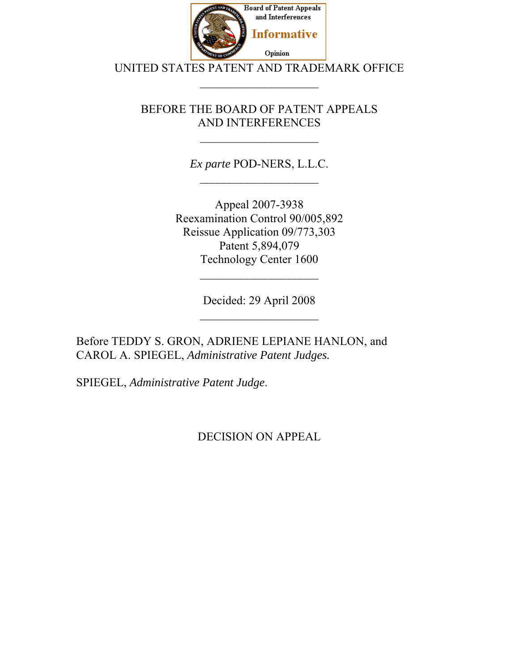

UNITED STATES PATENT AND TRADEMARK OFFICE

BEFORE THE BOARD OF PATENT APPEALS AND INTERFERENCES

> *Ex parte* POD-NERS, L.L.C.  $\mathcal{L}_\text{max}$  , where  $\mathcal{L}_\text{max}$

Appeal 2007-3938 Reexamination Control 90/005,892 Reissue Application 09/773,303 Patent 5,894,079 Technology Center 1600

Decided: 29 April 2008

 $\mathcal{L}_\text{max}$  , where  $\mathcal{L}_\text{max}$ 

Before TEDDY S. GRON, ADRIENE LEPIANE HANLON, and CAROL A. SPIEGEL, *Administrative Patent Judges.*

SPIEGEL, *Administrative Patent Judge*.

DECISION ON APPEAL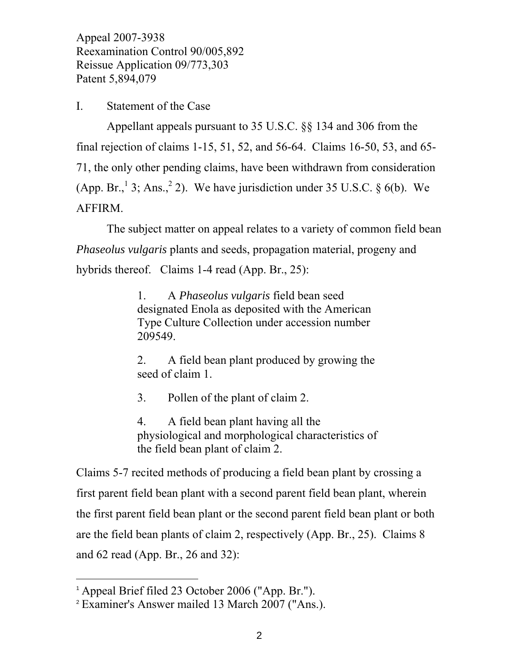I. Statement of the Case

 Appellant appeals pursuant to 35 U.S.C. §§ 134 and 306 from the final rejection of claims 1-15, 51, 52, and 56-64. Claims 16-50, 53, and 65- 71, the only other pending claims, have been withdrawn from consideration (App. Br.,  $\frac{1}{3}$ ; Ans.,  $\frac{2}{3}$ ). We have jurisdiction under 35 U.S.C. § 6(b). We AFFIRM.

 The subject matter on appeal relates to a variety of common field bean *Phaseolus vulgaris* plants and seeds, propagation material, progeny and hybrids thereof. Claims 1-4 read (App. Br., 25):

> 1. A *Phaseolus vulgaris* field bean seed designated Enola as deposited with the American Type Culture Collection under accession number 209549.

2. A field bean plant produced by growing the seed of claim 1.

3. Pollen of the plant of claim 2.

4. A field bean plant having all the physiological and morphological characteristics of the field bean plant of claim 2.

Claims 5-7 recited methods of producing a field bean plant by crossing a first parent field bean plant with a second parent field bean plant, wherein the first parent field bean plant or the second parent field bean plant or both are the field bean plants of claim 2, respectively (App. Br., 25). Claims 8 and 62 read (App. Br., 26 and 32):

 $\overline{a}$ 

<sup>1</sup> Appeal Brief filed 23 October 2006 ("App. Br.").

<sup>2</sup> Examiner's Answer mailed 13 March 2007 ("Ans.).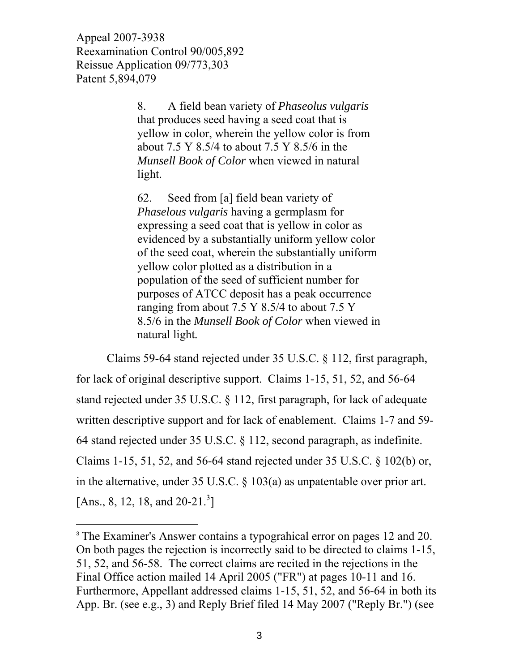$\overline{a}$ 

8. A field bean variety of *Phaseolus vulgaris* that produces seed having a seed coat that is yellow in color, wherein the yellow color is from about 7.5 Y 8.5/4 to about 7.5 Y 8.5/6 in the *Munsell Book of Color* when viewed in natural light.

62. Seed from [a] field bean variety of *Phaselous vulgaris* having a germplasm for expressing a seed coat that is yellow in color as evidenced by a substantially uniform yellow color of the seed coat, wherein the substantially uniform yellow color plotted as a distribution in a population of the seed of sufficient number for purposes of ATCC deposit has a peak occurrence ranging from about 7.5 Y 8.5/4 to about 7.5 Y 8.5/6 in the *Munsell Book of Color* when viewed in natural light*.*

 Claims 59-64 stand rejected under 35 U.S.C. § 112, first paragraph, for lack of original descriptive support. Claims 1-15, 51, 52, and 56-64 stand rejected under 35 U.S.C. § 112, first paragraph, for lack of adequate written descriptive support and for lack of enablement. Claims 1-7 and 59- 64 stand rejected under 35 U.S.C. § 112, second paragraph, as indefinite. Claims 1-15, 51, 52, and 56-64 stand rejected under 35 U.S.C. § 102(b) or, in the alternative, under 35 U.S.C. § 103(a) as unpatentable over prior art. [Ans., 8, 12, 18, and  $20-21$ .<sup>3</sup>]

<sup>&</sup>lt;sup>3</sup> The Examiner's Answer contains a typograhical error on pages 12 and 20. On both pages the rejection is incorrectly said to be directed to claims 1-15, 51, 52, and 56-58. The correct claims are recited in the rejections in the Final Office action mailed 14 April 2005 ("FR") at pages 10-11 and 16. Furthermore, Appellant addressed claims 1-15, 51, 52, and 56-64 in both its App. Br. (see e.g., 3) and Reply Brief filed 14 May 2007 ("Reply Br.") (see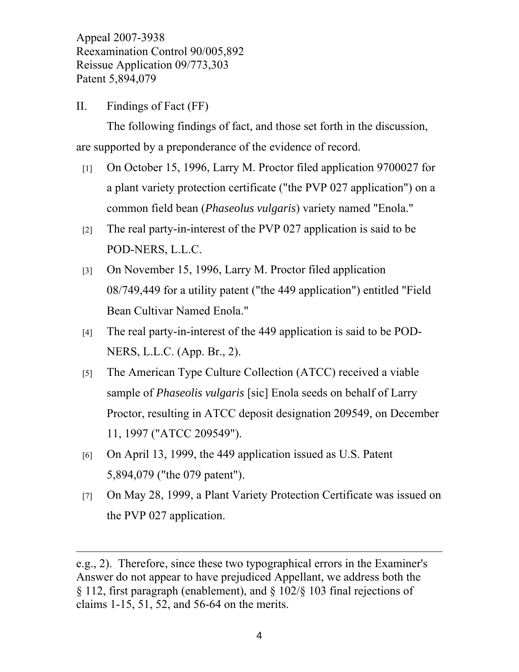II. Findings of Fact (FF)

 $\overline{a}$ 

 The following findings of fact, and those set forth in the discussion, are supported by a preponderance of the evidence of record.

- [1] On October 15, 1996, Larry M. Proctor filed application 9700027 for a plant variety protection certificate ("the PVP 027 application") on a common field bean (*Phaseolus vulgaris*) variety named "Enola."
- [2] The real party-in-interest of the PVP 027 application is said to be POD-NERS, L.L.C.
- [3] On November 15, 1996, Larry M. Proctor filed application 08/749,449 for a utility patent ("the 449 application") entitled "Field Bean Cultivar Named Enola."
- [4] The real party-in-interest of the 449 application is said to be POD-NERS, L.L.C. (App. Br., 2).
- [5] The American Type Culture Collection (ATCC) received a viable sample of *Phaseolis vulgaris* [sic] Enola seeds on behalf of Larry Proctor, resulting in ATCC deposit designation 209549, on December 11, 1997 ("ATCC 209549").
- [6] On April 13, 1999, the 449 application issued as U.S. Patent 5,894,079 ("the 079 patent").
- [7] On May 28, 1999, a Plant Variety Protection Certificate was issued on the PVP 027 application.

e.g., 2). Therefore, since these two typographical errors in the Examiner's Answer do not appear to have prejudiced Appellant, we address both the § 112, first paragraph (enablement), and § 102/§ 103 final rejections of claims 1-15, 51, 52, and 56-64 on the merits.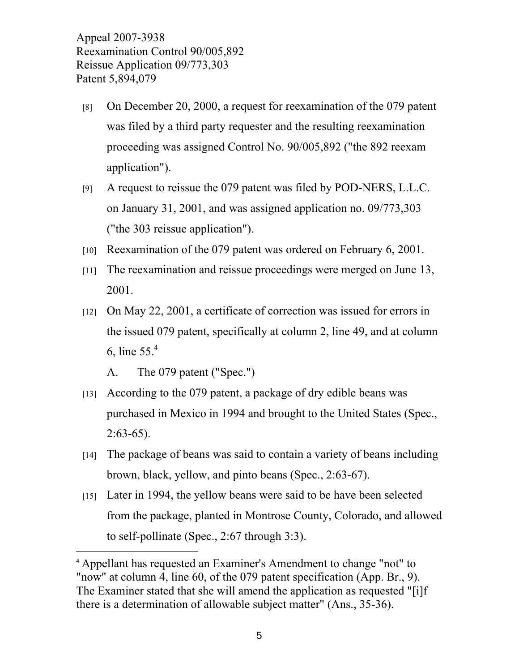- [8] On December 20, 2000, a request for reexamination of the 079 patent was filed by a third party requester and the resulting reexamination proceeding was assigned Control No. 90/005,892 ("the 892 reexam application").
- [9] A request to reissue the 079 patent was filed by POD-NERS, L.L.C. on January 31, 2001, and was assigned application no. 09/773,303 ("the 303 reissue application").
- [10] Reexamination of the 079 patent was ordered on February 6, 2001.
- [11] The reexamination and reissue proceedings were merged on June 13, 2001.
- [12] On May 22, 2001, a certificate of correction was issued for errors in the issued 079 patent, specifically at column 2, line 49, and at column 6, line 55.<sup>4</sup>

A. The 079 patent ("Spec.")

 $\overline{a}$ 

- [13] According to the 079 patent, a package of dry edible beans was purchased in Mexico in 1994 and brought to the United States (Spec.,  $2:63-65$ ).
- [14] The package of beans was said to contain a variety of beans including brown, black, yellow, and pinto beans (Spec., 2:63-67).
- [15] Later in 1994, the yellow beans were said to be have been selected from the package, planted in Montrose County, Colorado, and allowed to self-pollinate (Spec., 2:67 through 3:3).

<sup>4</sup> Appellant has requested an Examiner's Amendment to change "not" to "now" at column 4, line 60, of the 079 patent specification (App. Br., 9). The Examiner stated that she will amend the application as requested "[i]f there is a determination of allowable subject matter" (Ans., 35-36).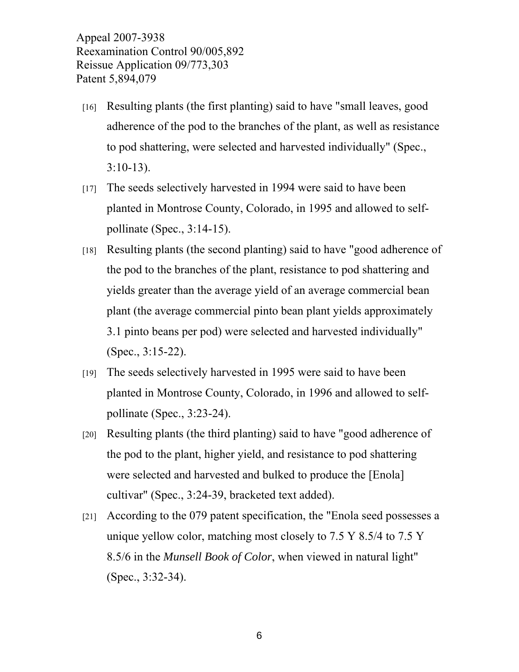- [16] Resulting plants (the first planting) said to have "small leaves, good adherence of the pod to the branches of the plant, as well as resistance to pod shattering, were selected and harvested individually" (Spec., 3:10-13).
- [17] The seeds selectively harvested in 1994 were said to have been planted in Montrose County, Colorado, in 1995 and allowed to selfpollinate (Spec., 3:14-15).
- [18] Resulting plants (the second planting) said to have "good adherence of the pod to the branches of the plant, resistance to pod shattering and yields greater than the average yield of an average commercial bean plant (the average commercial pinto bean plant yields approximately 3.1 pinto beans per pod) were selected and harvested individually" (Spec., 3:15-22).
- [19] The seeds selectively harvested in 1995 were said to have been planted in Montrose County, Colorado, in 1996 and allowed to selfpollinate (Spec., 3:23-24).
- [20] Resulting plants (the third planting) said to have "good adherence of the pod to the plant, higher yield, and resistance to pod shattering were selected and harvested and bulked to produce the [Enola] cultivar" (Spec., 3:24-39, bracketed text added).
- [21] According to the 079 patent specification, the "Enola seed possesses a unique yellow color, matching most closely to 7.5 Y 8.5/4 to 7.5 Y 8.5/6 in the *Munsell Book of Color*, when viewed in natural light" (Spec., 3:32-34).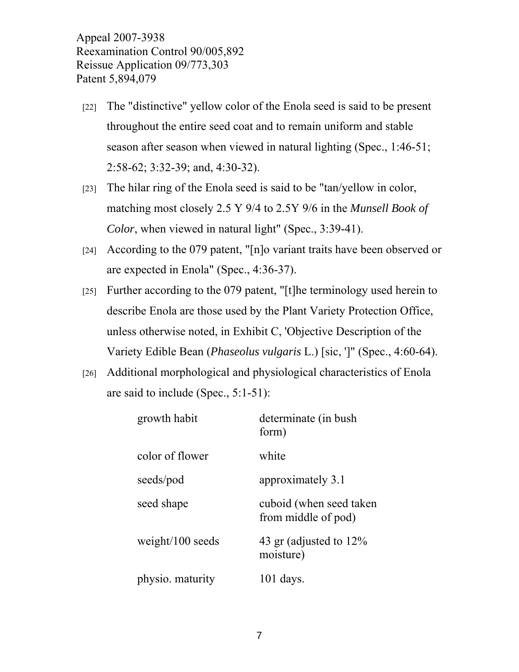- [22] The "distinctive" yellow color of the Enola seed is said to be present throughout the entire seed coat and to remain uniform and stable season after season when viewed in natural lighting (Spec., 1:46-51; 2:58-62; 3:32-39; and, 4:30-32).
- [23] The hilar ring of the Enola seed is said to be "tan/yellow in color, matching most closely 2.5 Y 9/4 to 2.5Y 9/6 in the *Munsell Book of Color*, when viewed in natural light" (Spec., 3:39-41).
- [24] According to the 079 patent, "[n]o variant traits have been observed or are expected in Enola" (Spec., 4:36-37).
- [25] Further according to the 079 patent, "[t]he terminology used herein to describe Enola are those used by the Plant Variety Protection Office, unless otherwise noted, in Exhibit C, 'Objective Description of the Variety Edible Bean (*Phaseolus vulgaris* L.) [sic, ']" (Spec., 4:60-64).
- [26] Additional morphological and physiological characteristics of Enola are said to include (Spec., 5:1-51):

| growth habit        | determinate (in bush)<br>form)                 |
|---------------------|------------------------------------------------|
| color of flower     | white                                          |
| seeds/pod           | approximately 3.1                              |
| seed shape          | cuboid (when seed taken<br>from middle of pod) |
| weight/ $100$ seeds | 43 gr (adjusted to $12\%$<br>moisture)         |
| physio. maturity    | $101$ days.                                    |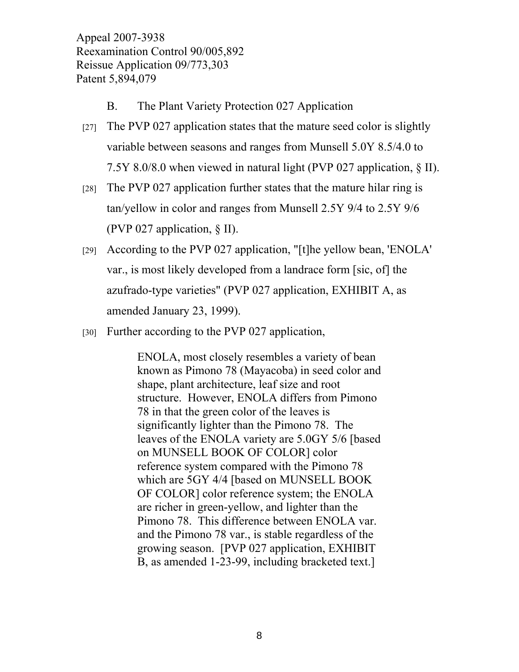- B. The Plant Variety Protection 027 Application
- [27] The PVP 027 application states that the mature seed color is slightly variable between seasons and ranges from Munsell 5.0Y 8.5/4.0 to 7.5Y 8.0/8.0 when viewed in natural light (PVP 027 application, § II).
- [28] The PVP 027 application further states that the mature hilar ring is tan/yellow in color and ranges from Munsell 2.5Y 9/4 to 2.5Y 9/6 (PVP 027 application, § II).
- [29] According to the PVP 027 application, "[t]he yellow bean, 'ENOLA' var., is most likely developed from a landrace form [sic, of] the azufrado-type varieties" (PVP 027 application, EXHIBIT A, as amended January 23, 1999).
- [30] Further according to the PVP 027 application,

ENOLA, most closely resembles a variety of bean known as Pimono 78 (Mayacoba) in seed color and shape, plant architecture, leaf size and root structure. However, ENOLA differs from Pimono 78 in that the green color of the leaves is significantly lighter than the Pimono 78. The leaves of the ENOLA variety are 5.0GY 5/6 [based on MUNSELL BOOK OF COLOR] color reference system compared with the Pimono 78 which are 5GY 4/4 [based on MUNSELL BOOK OF COLOR] color reference system; the ENOLA are richer in green-yellow, and lighter than the Pimono 78. This difference between ENOLA var. and the Pimono 78 var., is stable regardless of the growing season. [PVP 027 application, EXHIBIT B, as amended 1-23-99, including bracketed text.]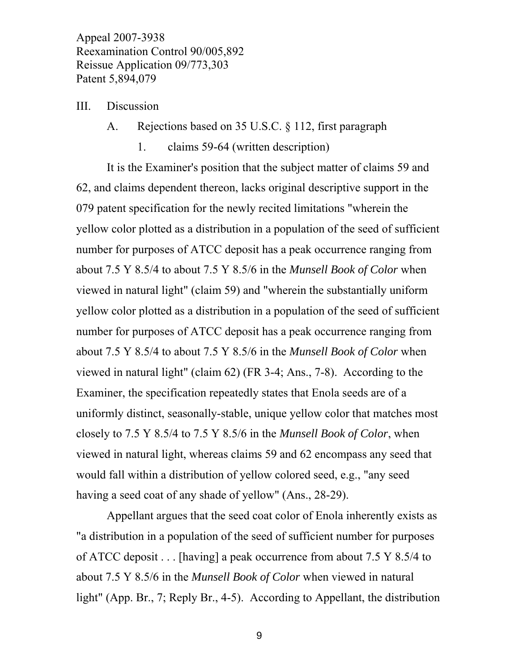III. Discussion

A. Rejections based on 35 U.S.C. § 112, first paragraph

1. claims 59-64 (written description)

 It is the Examiner's position that the subject matter of claims 59 and 62, and claims dependent thereon, lacks original descriptive support in the 079 patent specification for the newly recited limitations "wherein the yellow color plotted as a distribution in a population of the seed of sufficient number for purposes of ATCC deposit has a peak occurrence ranging from about 7.5 Y 8.5/4 to about 7.5 Y 8.5/6 in the *Munsell Book of Color* when viewed in natural light" (claim 59) and "wherein the substantially uniform yellow color plotted as a distribution in a population of the seed of sufficient number for purposes of ATCC deposit has a peak occurrence ranging from about 7.5 Y 8.5/4 to about 7.5 Y 8.5/6 in the *Munsell Book of Color* when viewed in natural light" (claim 62) (FR 3-4; Ans., 7-8). According to the Examiner, the specification repeatedly states that Enola seeds are of a uniformly distinct, seasonally-stable, unique yellow color that matches most closely to 7.5 Y 8.5/4 to 7.5 Y 8.5/6 in the *Munsell Book of Color*, when viewed in natural light, whereas claims 59 and 62 encompass any seed that would fall within a distribution of yellow colored seed, e.g., "any seed having a seed coat of any shade of yellow" (Ans., 28-29).

Appellant argues that the seed coat color of Enola inherently exists as "a distribution in a population of the seed of sufficient number for purposes of ATCC deposit . . . [having] a peak occurrence from about 7.5 Y 8.5/4 to about 7.5 Y 8.5/6 in the *Munsell Book of Color* when viewed in natural light" (App. Br., 7; Reply Br., 4-5). According to Appellant, the distribution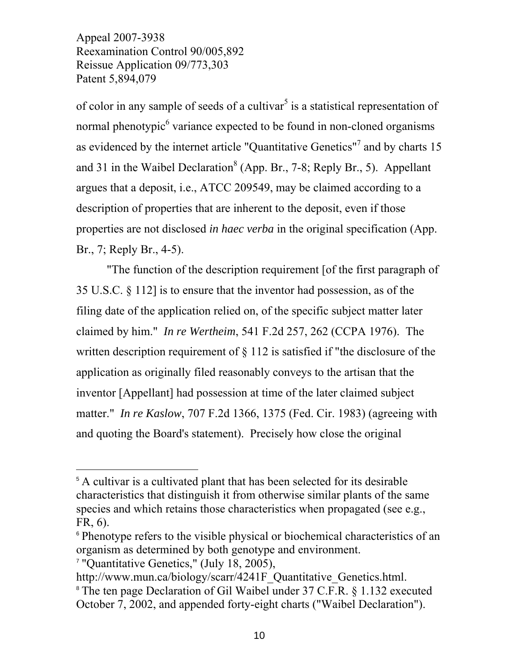$\overline{a}$ 

of color in any sample of seeds of a cultivar<sup>5</sup> is a statistical representation of normal phenotypic<sup>6</sup> variance expected to be found in non-cloned organisms as evidenced by the internet article "Quantitative Genetics"<sup>7</sup> and by charts 15 and 31 in the Waibel Declaration<sup>8</sup> (App. Br., 7-8; Reply Br., 5). Appellant argues that a deposit, i.e., ATCC 209549, may be claimed according to a description of properties that are inherent to the deposit, even if those properties are not disclosed *in haec verba* in the original specification (App. Br., 7; Reply Br., 4-5).

"The function of the description requirement [of the first paragraph of 35 U.S.C. § 112] is to ensure that the inventor had possession, as of the filing date of the application relied on, of the specific subject matter later claimed by him." *In re Wertheim*, 541 F.2d 257, 262 (CCPA 1976). The written description requirement of  $\S$  112 is satisfied if "the disclosure of the application as originally filed reasonably conveys to the artisan that the inventor [Appellant] had possession at time of the later claimed subject matter." *In re Kaslow*, 707 F.2d 1366, 1375 (Fed. Cir. 1983) (agreeing with and quoting the Board's statement). Precisely how close the original

<sup>&</sup>lt;sup>5</sup> A cultivar is a cultivated plant that has been selected for its desirable characteristics that distinguish it from otherwise similar plants of the same species and which retains those characteristics when propagated (see e.g., FR, 6).

<sup>&</sup>lt;sup>6</sup> Phenotype refers to the visible physical or biochemical characteristics of an organism as determined by both genotype and environment. <sup>7</sup> "Quantitative Genetics," (July 18, 2005),

http://www.mun.ca/biology/scarr/4241F Quantitative Genetics.html. <sup>8</sup> The ten page Declaration of Gil Waibel under 37 C.F.R. § 1.132 executed October 7, 2002, and appended forty-eight charts ("Waibel Declaration").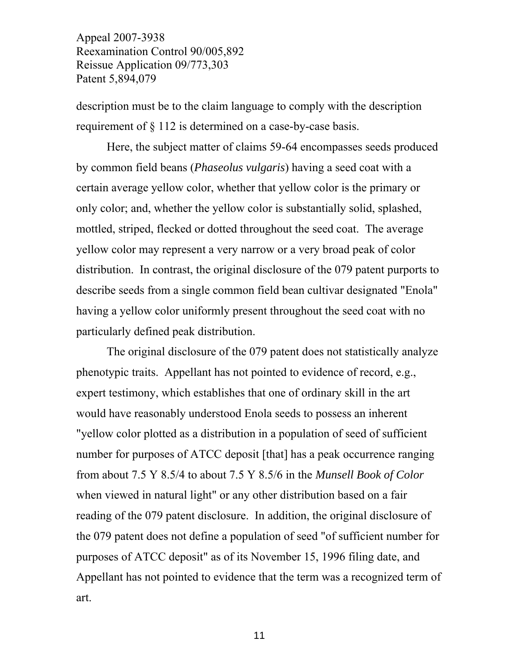description must be to the claim language to comply with the description requirement of § 112 is determined on a case-by-case basis.

Here, the subject matter of claims 59-64 encompasses seeds produced by common field beans (*Phaseolus vulgaris*) having a seed coat with a certain average yellow color, whether that yellow color is the primary or only color; and, whether the yellow color is substantially solid, splashed, mottled, striped, flecked or dotted throughout the seed coat. The average yellow color may represent a very narrow or a very broad peak of color distribution. In contrast, the original disclosure of the 079 patent purports to describe seeds from a single common field bean cultivar designated "Enola" having a yellow color uniformly present throughout the seed coat with no particularly defined peak distribution.

The original disclosure of the 079 patent does not statistically analyze phenotypic traits. Appellant has not pointed to evidence of record, e.g., expert testimony, which establishes that one of ordinary skill in the art would have reasonably understood Enola seeds to possess an inherent "yellow color plotted as a distribution in a population of seed of sufficient number for purposes of ATCC deposit [that] has a peak occurrence ranging from about 7.5 Y 8.5/4 to about 7.5 Y 8.5/6 in the *Munsell Book of Color* when viewed in natural light" or any other distribution based on a fair reading of the 079 patent disclosure. In addition, the original disclosure of the 079 patent does not define a population of seed "of sufficient number for purposes of ATCC deposit" as of its November 15, 1996 filing date, and Appellant has not pointed to evidence that the term was a recognized term of art.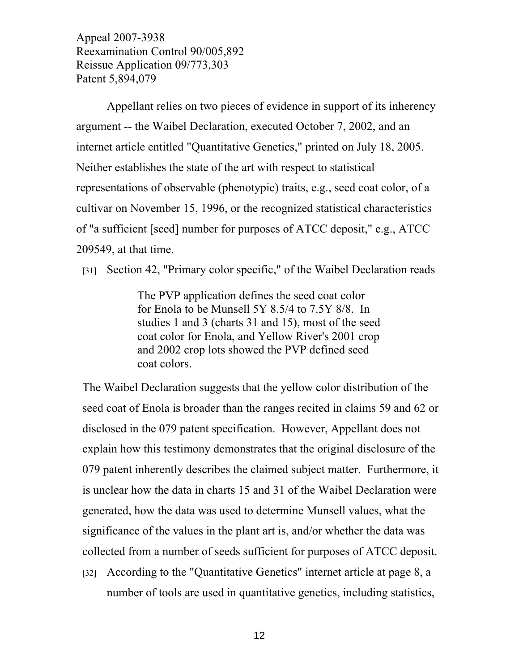Appellant relies on two pieces of evidence in support of its inherency argument -- the Waibel Declaration, executed October 7, 2002, and an internet article entitled "Quantitative Genetics," printed on July 18, 2005. Neither establishes the state of the art with respect to statistical representations of observable (phenotypic) traits, e.g., seed coat color, of a cultivar on November 15, 1996, or the recognized statistical characteristics of "a sufficient [seed] number for purposes of ATCC deposit," e.g., ATCC 209549, at that time.

[31] Section 42, "Primary color specific," of the Waibel Declaration reads

The PVP application defines the seed coat color for Enola to be Munsell 5Y 8.5/4 to 7.5Y 8/8. In studies 1 and 3 (charts 31 and 15), most of the seed coat color for Enola, and Yellow River's 2001 crop and 2002 crop lots showed the PVP defined seed coat colors.

The Waibel Declaration suggests that the yellow color distribution of the seed coat of Enola is broader than the ranges recited in claims 59 and 62 or disclosed in the 079 patent specification. However, Appellant does not explain how this testimony demonstrates that the original disclosure of the 079 patent inherently describes the claimed subject matter. Furthermore, it is unclear how the data in charts 15 and 31 of the Waibel Declaration were generated, how the data was used to determine Munsell values, what the significance of the values in the plant art is, and/or whether the data was collected from a number of seeds sufficient for purposes of ATCC deposit.

[32] According to the "Quantitative Genetics" internet article at page 8, a number of tools are used in quantitative genetics, including statistics,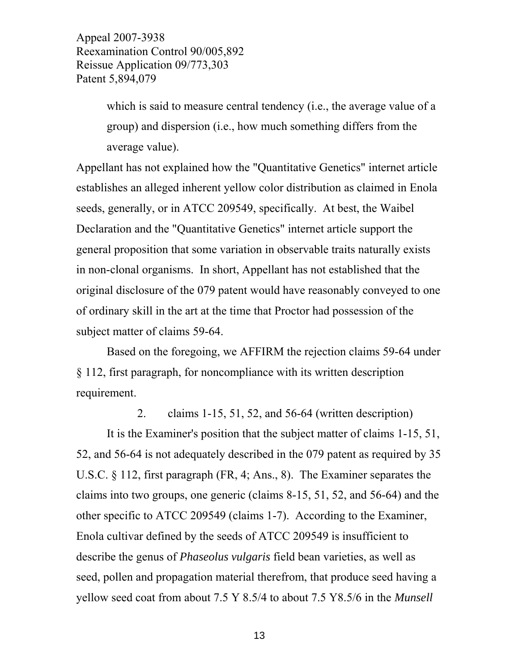> which is said to measure central tendency (i.e., the average value of a group) and dispersion (i.e., how much something differs from the average value).

Appellant has not explained how the "Quantitative Genetics" internet article establishes an alleged inherent yellow color distribution as claimed in Enola seeds, generally, or in ATCC 209549, specifically. At best, the Waibel Declaration and the "Quantitative Genetics" internet article support the general proposition that some variation in observable traits naturally exists in non-clonal organisms. In short, Appellant has not established that the original disclosure of the 079 patent would have reasonably conveyed to one of ordinary skill in the art at the time that Proctor had possession of the subject matter of claims 59-64.

 Based on the foregoing, we AFFIRM the rejection claims 59-64 under § 112, first paragraph, for noncompliance with its written description requirement.

2. claims 1-15, 51, 52, and 56-64 (written description)

 It is the Examiner's position that the subject matter of claims 1-15, 51, 52, and 56-64 is not adequately described in the 079 patent as required by 35 U.S.C. § 112, first paragraph (FR, 4; Ans., 8). The Examiner separates the claims into two groups, one generic (claims 8-15, 51, 52, and 56-64) and the other specific to ATCC 209549 (claims 1-7). According to the Examiner, Enola cultivar defined by the seeds of ATCC 209549 is insufficient to describe the genus of *Phaseolus vulgaris* field bean varieties, as well as seed, pollen and propagation material therefrom, that produce seed having a yellow seed coat from about 7.5 Y 8.5/4 to about 7.5 Y8.5/6 in the *Munsell*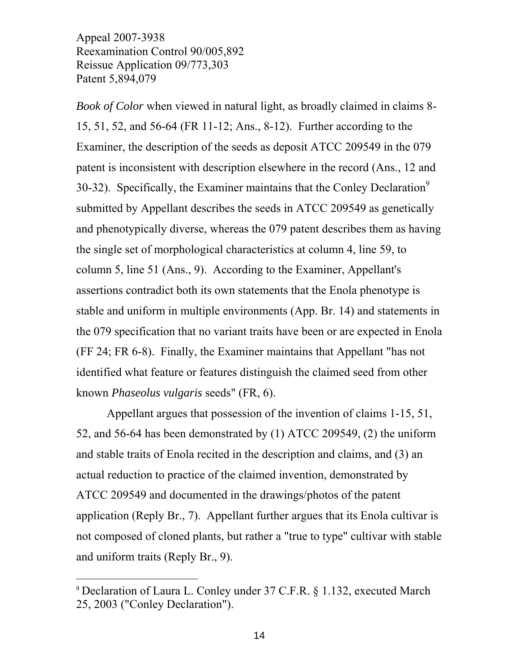*Book of Color* when viewed in natural light, as broadly claimed in claims 8- 15, 51, 52, and 56-64 (FR 11-12; Ans., 8-12). Further according to the Examiner, the description of the seeds as deposit ATCC 209549 in the 079 patent is inconsistent with description elsewhere in the record (Ans., 12 and  $30-32$ ). Specifically, the Examiner maintains that the Conley Declaration<sup>9</sup> submitted by Appellant describes the seeds in ATCC 209549 as genetically and phenotypically diverse, whereas the 079 patent describes them as having the single set of morphological characteristics at column 4, line 59, to column 5, line 51 (Ans., 9). According to the Examiner, Appellant's assertions contradict both its own statements that the Enola phenotype is stable and uniform in multiple environments (App. Br. 14) and statements in the 079 specification that no variant traits have been or are expected in Enola (FF 24; FR 6-8). Finally, the Examiner maintains that Appellant "has not identified what feature or features distinguish the claimed seed from other known *Phaseolus vulgaris* seeds" (FR, 6).

 Appellant argues that possession of the invention of claims 1-15, 51, 52, and 56-64 has been demonstrated by (1) ATCC 209549, (2) the uniform and stable traits of Enola recited in the description and claims, and (3) an actual reduction to practice of the claimed invention, demonstrated by ATCC 209549 and documented in the drawings/photos of the patent application (Reply Br., 7). Appellant further argues that its Enola cultivar is not composed of cloned plants, but rather a "true to type" cultivar with stable and uniform traits (Reply Br., 9).

 $\overline{a}$ 

<sup>9</sup> Declaration of Laura L. Conley under 37 C.F.R. § 1.132, executed March 25, 2003 ("Conley Declaration").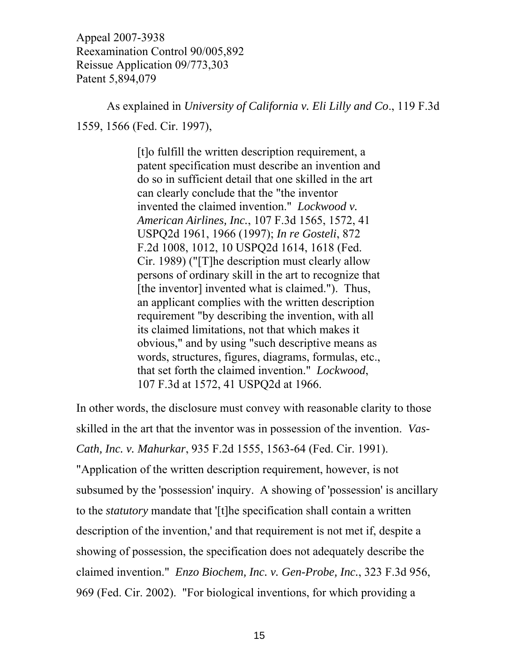As explained in *University of California v. Eli Lilly and Co*., 119 F.3d

1559, 1566 (Fed. Cir. 1997),

[t]o fulfill the written description requirement, a patent specification must describe an invention and do so in sufficient detail that one skilled in the art can clearly conclude that the "the inventor invented the claimed invention." *Lockwood v. American Airlines, Inc.*, 107 F.3d 1565, 1572, 41 USPQ2d 1961, 1966 (1997); *In re Gosteli*, 872 F.2d 1008, 1012, 10 USPQ2d 1614, 1618 (Fed. Cir. 1989) ("[T]he description must clearly allow persons of ordinary skill in the art to recognize that [the inventor] invented what is claimed."). Thus, an applicant complies with the written description requirement "by describing the invention, with all its claimed limitations, not that which makes it obvious," and by using "such descriptive means as words, structures, figures, diagrams, formulas, etc., that set forth the claimed invention." *Lockwood*, 107 F.3d at 1572, 41 USPQ2d at 1966.

In other words, the disclosure must convey with reasonable clarity to those skilled in the art that the inventor was in possession of the invention. *Vas-Cath, Inc. v. Mahurkar*, 935 F.2d 1555, 1563-64 (Fed. Cir. 1991). "Application of the written description requirement, however, is not subsumed by the 'possession' inquiry. A showing of 'possession' is ancillary to the *statutory* mandate that '[t]he specification shall contain a written description of the invention,' and that requirement is not met if, despite a showing of possession, the specification does not adequately describe the claimed invention." *Enzo Biochem, Inc. v. Gen-Probe, Inc.*, 323 F.3d 956, 969 (Fed. Cir. 2002). "For biological inventions, for which providing a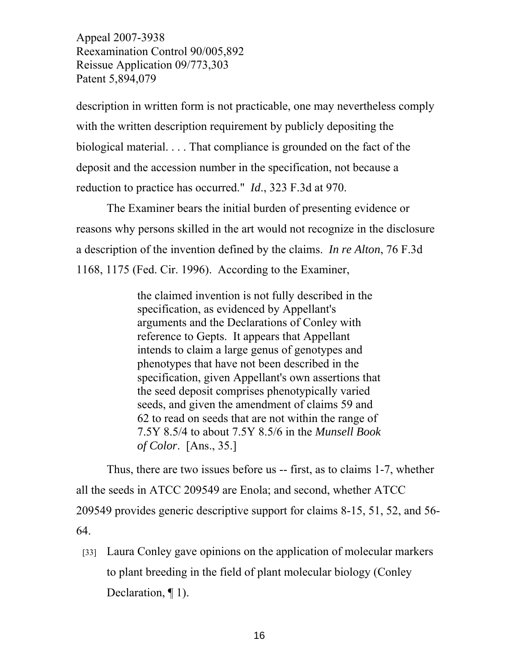description in written form is not practicable, one may nevertheless comply with the written description requirement by publicly depositing the biological material. . . . That compliance is grounded on the fact of the deposit and the accession number in the specification, not because a reduction to practice has occurred." *Id*., 323 F.3d at 970.

 The Examiner bears the initial burden of presenting evidence or reasons why persons skilled in the art would not recognize in the disclosure a description of the invention defined by the claims. *In re Alton*, 76 F.3d 1168, 1175 (Fed. Cir. 1996). According to the Examiner,

> the claimed invention is not fully described in the specification, as evidenced by Appellant's arguments and the Declarations of Conley with reference to Gepts. It appears that Appellant intends to claim a large genus of genotypes and phenotypes that have not been described in the specification, given Appellant's own assertions that the seed deposit comprises phenotypically varied seeds, and given the amendment of claims 59 and 62 to read on seeds that are not within the range of 7.5Y 8.5/4 to about 7.5Y 8.5/6 in the *Munsell Book of Color*. [Ans., 35.]

 Thus, there are two issues before us -- first, as to claims 1-7, whether all the seeds in ATCC 209549 are Enola; and second, whether ATCC 209549 provides generic descriptive support for claims 8-15, 51, 52, and 56- 64.

[33] Laura Conley gave opinions on the application of molecular markers to plant breeding in the field of plant molecular biology (Conley Declaration, ¶ 1).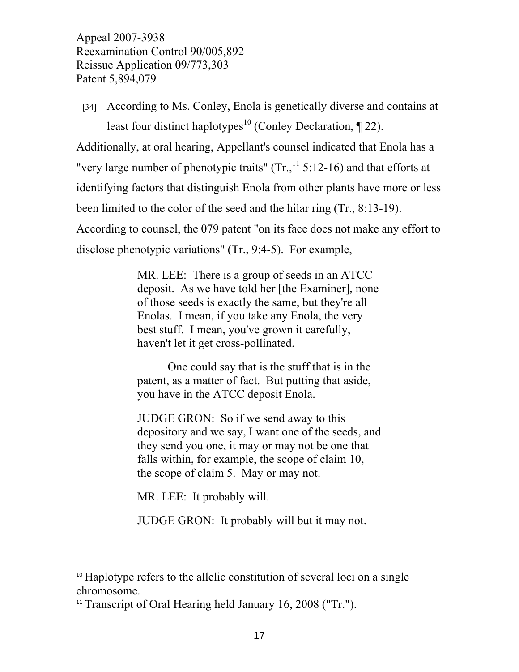[34] According to Ms. Conley, Enola is genetically diverse and contains at least four distinct haplotypes<sup>10</sup> (Conley Declaration,  $\P$  22).

Additionally, at oral hearing, Appellant's counsel indicated that Enola has a "very large number of phenotypic traits"  $(Tr, 115:12-16)$  and that efforts at identifying factors that distinguish Enola from other plants have more or less been limited to the color of the seed and the hilar ring (Tr., 8:13-19). According to counsel, the 079 patent "on its face does not make any effort to disclose phenotypic variations" (Tr., 9:4-5). For example,

> MR. LEE: There is a group of seeds in an ATCC deposit. As we have told her [the Examiner], none of those seeds is exactly the same, but they're all Enolas. I mean, if you take any Enola, the very best stuff. I mean, you've grown it carefully, haven't let it get cross-pollinated.

 One could say that is the stuff that is in the patent, as a matter of fact. But putting that aside, you have in the ATCC deposit Enola.

JUDGE GRON: So if we send away to this depository and we say, I want one of the seeds, and they send you one, it may or may not be one that falls within, for example, the scope of claim 10, the scope of claim 5. May or may not.

MR. LEE: It probably will.

 $\overline{a}$ 

JUDGE GRON: It probably will but it may not.

<sup>&</sup>lt;sup>10</sup> Haplotype refers to the allelic constitution of several loci on a single chromosome.

<sup>&</sup>lt;sup>11</sup> Transcript of Oral Hearing held January 16, 2008 ("Tr.").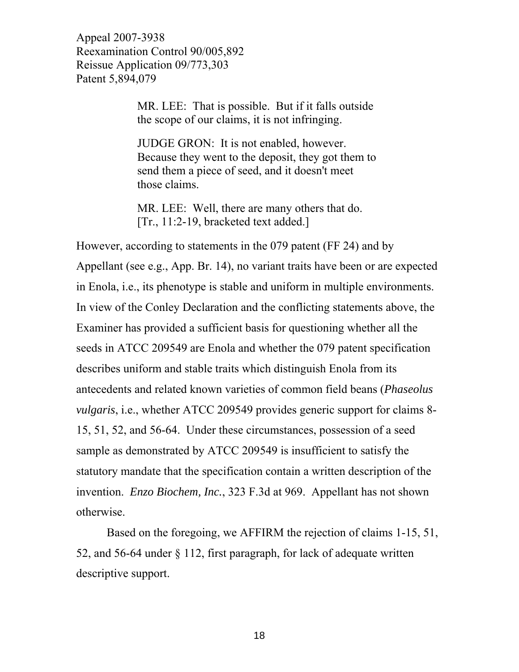> MR. LEE: That is possible. But if it falls outside the scope of our claims, it is not infringing.

> JUDGE GRON: It is not enabled, however. Because they went to the deposit, they got them to send them a piece of seed, and it doesn't meet those claims.

MR. LEE: Well, there are many others that do. [Tr., 11:2-19, bracketed text added.]

However, according to statements in the 079 patent (FF 24) and by Appellant (see e.g., App. Br. 14), no variant traits have been or are expected in Enola, i.e., its phenotype is stable and uniform in multiple environments. In view of the Conley Declaration and the conflicting statements above, the Examiner has provided a sufficient basis for questioning whether all the seeds in ATCC 209549 are Enola and whether the 079 patent specification describes uniform and stable traits which distinguish Enola from its antecedents and related known varieties of common field beans (*Phaseolus vulgaris*, i.e., whether ATCC 209549 provides generic support for claims 8- 15, 51, 52, and 56-64. Under these circumstances, possession of a seed sample as demonstrated by ATCC 209549 is insufficient to satisfy the statutory mandate that the specification contain a written description of the invention. *Enzo Biochem, Inc.*, 323 F.3d at 969. Appellant has not shown otherwise.

 Based on the foregoing, we AFFIRM the rejection of claims 1-15, 51, 52, and 56-64 under § 112, first paragraph, for lack of adequate written descriptive support.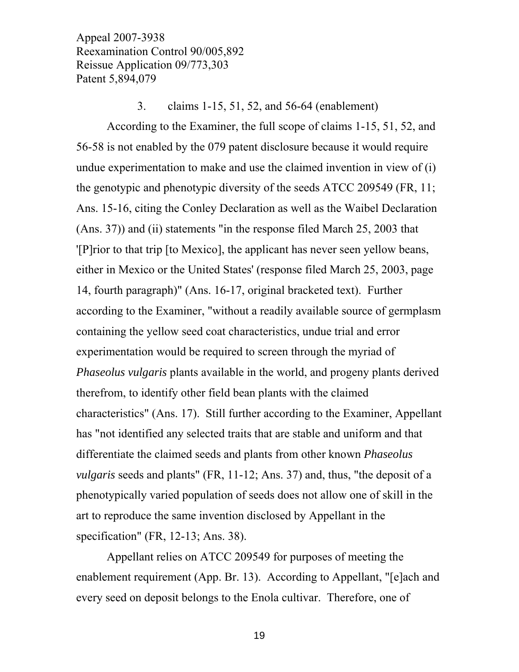3. claims 1-15, 51, 52, and 56-64 (enablement)

 According to the Examiner, the full scope of claims 1-15, 51, 52, and 56-58 is not enabled by the 079 patent disclosure because it would require undue experimentation to make and use the claimed invention in view of (i) the genotypic and phenotypic diversity of the seeds ATCC 209549 (FR, 11; Ans. 15-16, citing the Conley Declaration as well as the Waibel Declaration (Ans. 37)) and (ii) statements "in the response filed March 25, 2003 that '[P]rior to that trip [to Mexico], the applicant has never seen yellow beans, either in Mexico or the United States' (response filed March 25, 2003, page 14, fourth paragraph)" (Ans. 16-17, original bracketed text). Further according to the Examiner, "without a readily available source of germplasm containing the yellow seed coat characteristics, undue trial and error experimentation would be required to screen through the myriad of *Phaseolus vulgaris* plants available in the world, and progeny plants derived therefrom, to identify other field bean plants with the claimed characteristics" (Ans. 17). Still further according to the Examiner, Appellant has "not identified any selected traits that are stable and uniform and that differentiate the claimed seeds and plants from other known *Phaseolus vulgaris* seeds and plants" (FR, 11-12; Ans. 37) and, thus, "the deposit of a phenotypically varied population of seeds does not allow one of skill in the art to reproduce the same invention disclosed by Appellant in the specification" (FR, 12-13; Ans. 38).

 Appellant relies on ATCC 209549 for purposes of meeting the enablement requirement (App. Br. 13). According to Appellant, "[e]ach and every seed on deposit belongs to the Enola cultivar. Therefore, one of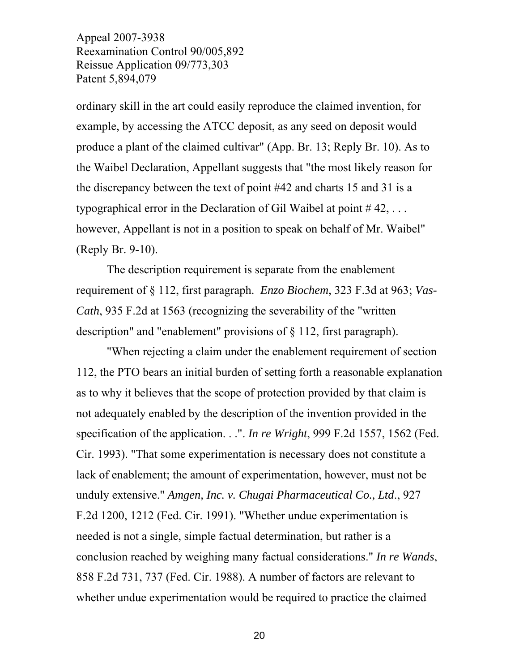ordinary skill in the art could easily reproduce the claimed invention, for example, by accessing the ATCC deposit, as any seed on deposit would produce a plant of the claimed cultivar" (App. Br. 13; Reply Br. 10). As to the Waibel Declaration, Appellant suggests that "the most likely reason for the discrepancy between the text of point #42 and charts 15 and 31 is a typographical error in the Declaration of Gil Waibel at point  $#42, \ldots$ however, Appellant is not in a position to speak on behalf of Mr. Waibel" (Reply Br. 9-10).

 The description requirement is separate from the enablement requirement of § 112, first paragraph. *Enzo Biochem*, 323 F.3d at 963; *Vas-Cath*, 935 F.2d at 1563 (recognizing the severability of the "written description" and "enablement" provisions of § 112, first paragraph).

"When rejecting a claim under the enablement requirement of section 112, the PTO bears an initial burden of setting forth a reasonable explanation as to why it believes that the scope of protection provided by that claim is not adequately enabled by the description of the invention provided in the specification of the application. . .". *In re Wright*, 999 F.2d 1557, 1562 (Fed. Cir. 1993). "That some experimentation is necessary does not constitute a lack of enablement; the amount of experimentation, however, must not be unduly extensive." *Amgen, Inc. v. Chugai Pharmaceutical Co., Ltd*., 927 F.2d 1200, 1212 (Fed. Cir. 1991). "Whether undue experimentation is needed is not a single, simple factual determination, but rather is a conclusion reached by weighing many factual considerations." *In re Wands*, 858 F.2d 731, 737 (Fed. Cir. 1988). A number of factors are relevant to whether undue experimentation would be required to practice the claimed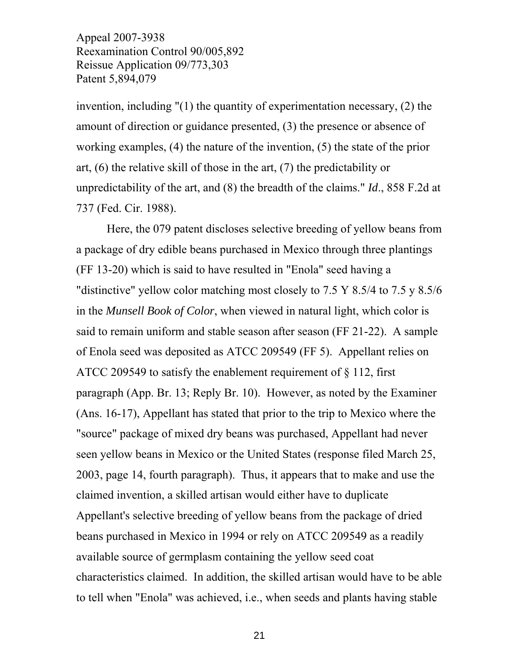invention, including "(1) the quantity of experimentation necessary, (2) the amount of direction or guidance presented, (3) the presence or absence of working examples, (4) the nature of the invention, (5) the state of the prior art, (6) the relative skill of those in the art, (7) the predictability or unpredictability of the art, and (8) the breadth of the claims." *Id*., 858 F.2d at 737 (Fed. Cir. 1988).

 Here, the 079 patent discloses selective breeding of yellow beans from a package of dry edible beans purchased in Mexico through three plantings (FF 13-20) which is said to have resulted in "Enola" seed having a "distinctive" yellow color matching most closely to 7.5 Y 8.5/4 to 7.5 y 8.5/6 in the *Munsell Book of Color*, when viewed in natural light, which color is said to remain uniform and stable season after season (FF 21-22). A sample of Enola seed was deposited as ATCC 209549 (FF 5). Appellant relies on ATCC 209549 to satisfy the enablement requirement of § 112, first paragraph (App. Br. 13; Reply Br. 10). However, as noted by the Examiner (Ans. 16-17), Appellant has stated that prior to the trip to Mexico where the "source" package of mixed dry beans was purchased, Appellant had never seen yellow beans in Mexico or the United States (response filed March 25, 2003, page 14, fourth paragraph). Thus, it appears that to make and use the claimed invention, a skilled artisan would either have to duplicate Appellant's selective breeding of yellow beans from the package of dried beans purchased in Mexico in 1994 or rely on ATCC 209549 as a readily available source of germplasm containing the yellow seed coat characteristics claimed. In addition, the skilled artisan would have to be able to tell when "Enola" was achieved, i.e., when seeds and plants having stable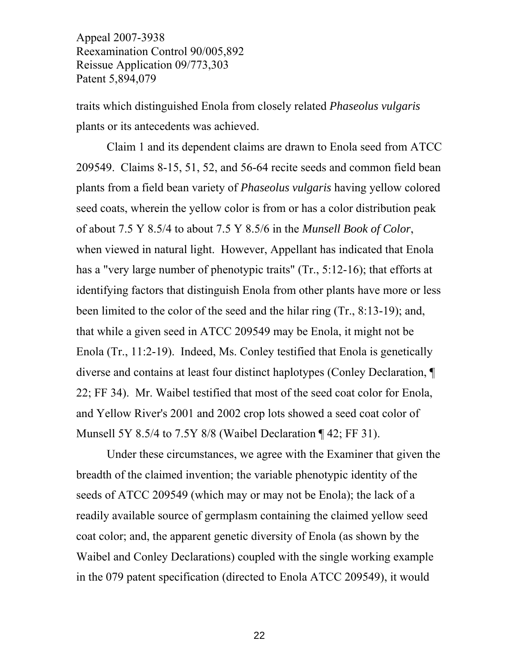traits which distinguished Enola from closely related *Phaseolus vulgaris* plants or its antecedents was achieved.

 Claim 1 and its dependent claims are drawn to Enola seed from ATCC 209549. Claims 8-15, 51, 52, and 56-64 recite seeds and common field bean plants from a field bean variety of *Phaseolus vulgaris* having yellow colored seed coats, wherein the yellow color is from or has a color distribution peak of about 7.5 Y 8.5/4 to about 7.5 Y 8.5/6 in the *Munsell Book of Color*, when viewed in natural light. However, Appellant has indicated that Enola has a "very large number of phenotypic traits" (Tr., 5:12-16); that efforts at identifying factors that distinguish Enola from other plants have more or less been limited to the color of the seed and the hilar ring (Tr., 8:13-19); and, that while a given seed in ATCC 209549 may be Enola, it might not be Enola (Tr., 11:2-19). Indeed, Ms. Conley testified that Enola is genetically diverse and contains at least four distinct haplotypes (Conley Declaration, ¶ 22; FF 34). Mr. Waibel testified that most of the seed coat color for Enola, and Yellow River's 2001 and 2002 crop lots showed a seed coat color of Munsell 5Y 8.5/4 to 7.5Y 8/8 (Waibel Declaration ¶ 42; FF 31).

 Under these circumstances, we agree with the Examiner that given the breadth of the claimed invention; the variable phenotypic identity of the seeds of ATCC 209549 (which may or may not be Enola); the lack of a readily available source of germplasm containing the claimed yellow seed coat color; and, the apparent genetic diversity of Enola (as shown by the Waibel and Conley Declarations) coupled with the single working example in the 079 patent specification (directed to Enola ATCC 209549), it would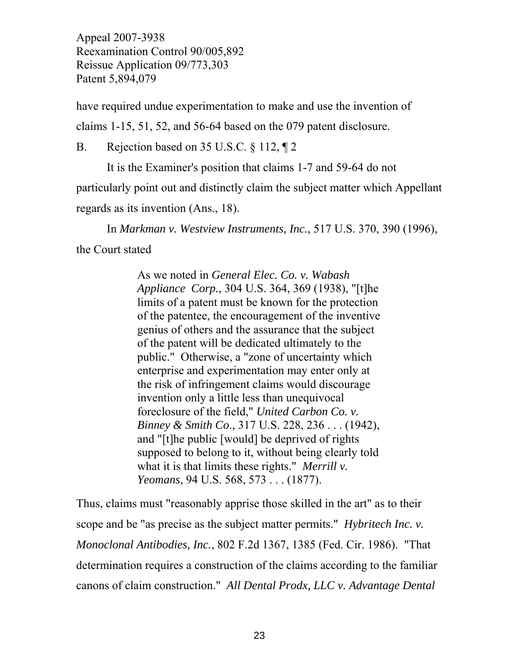have required undue experimentation to make and use the invention of claims 1-15, 51, 52, and 56-64 based on the 079 patent disclosure.

B. Rejection based on 35 U.S.C. § 112, ¶ 2

 It is the Examiner's position that claims 1-7 and 59-64 do not particularly point out and distinctly claim the subject matter which Appellant regards as its invention (Ans., 18).

 In *Markman v. Westview Instruments, Inc.*, 517 U.S. 370, 390 (1996), the Court stated

> As we noted in *General Elec. Co. v. Wabash Appliance Corp.*, 304 U.S. 364, 369 (1938), "[t]he limits of a patent must be known for the protection of the patentee, the encouragement of the inventive genius of others and the assurance that the subject of the patent will be dedicated ultimately to the public." Otherwise, a "zone of uncertainty which enterprise and experimentation may enter only at the risk of infringement claims would discourage invention only a little less than unequivocal foreclosure of the field," *United Carbon Co. v. Binney & Smith Co*., 317 U.S. 228, 236 . . . (1942), and "[t]he public [would] be deprived of rights supposed to belong to it, without being clearly told what it is that limits these rights." *Merrill v. Yeomans*, 94 U.S. 568, 573 . . . (1877).

Thus, claims must "reasonably apprise those skilled in the art" as to their scope and be "as precise as the subject matter permits." *Hybritech Inc. v. Monoclonal Antibodies, Inc.*, 802 F.2d 1367, 1385 (Fed. Cir. 1986). "That determination requires a construction of the claims according to the familiar canons of claim construction." *All Dental Prodx, LLC v. Advantage Dental*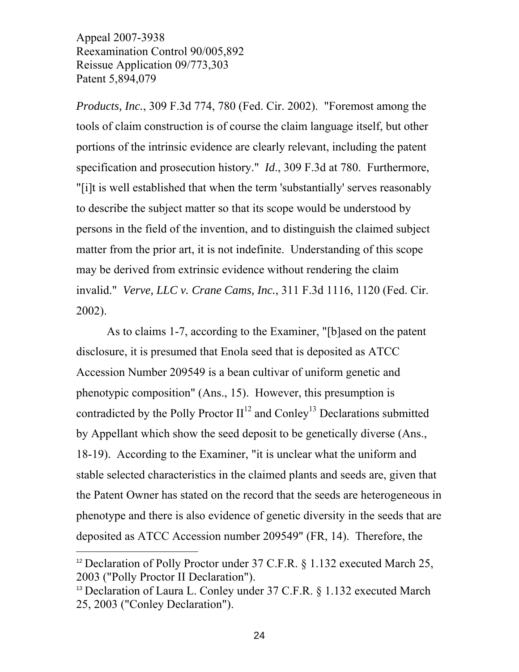$\overline{a}$ 

*Products, Inc.*, 309 F.3d 774, 780 (Fed. Cir. 2002). "Foremost among the tools of claim construction is of course the claim language itself, but other portions of the intrinsic evidence are clearly relevant, including the patent specification and prosecution history." *Id*., 309 F.3d at 780. Furthermore, "[i]t is well established that when the term 'substantially' serves reasonably to describe the subject matter so that its scope would be understood by persons in the field of the invention, and to distinguish the claimed subject matter from the prior art, it is not indefinite. Understanding of this scope may be derived from extrinsic evidence without rendering the claim invalid." *Verve, LLC v. Crane Cams, Inc.*, 311 F.3d 1116, 1120 (Fed. Cir. 2002).

 As to claims 1-7, according to the Examiner, "[b]ased on the patent disclosure, it is presumed that Enola seed that is deposited as ATCC Accession Number 209549 is a bean cultivar of uniform genetic and phenotypic composition" (Ans., 15). However, this presumption is contradicted by the Polly Proctor  $II^{12}$  and Conley<sup>13</sup> Declarations submitted by Appellant which show the seed deposit to be genetically diverse (Ans., 18-19). According to the Examiner, "it is unclear what the uniform and stable selected characteristics in the claimed plants and seeds are, given that the Patent Owner has stated on the record that the seeds are heterogeneous in phenotype and there is also evidence of genetic diversity in the seeds that are deposited as ATCC Accession number 209549" (FR, 14). Therefore, the

<sup>&</sup>lt;sup>12</sup> Declaration of Polly Proctor under 37 C.F.R. § 1.132 executed March 25, 2003 ("Polly Proctor II Declaration").

<sup>&</sup>lt;sup>13</sup> Declaration of Laura L. Conley under 37 C.F.R. § 1.132 executed March 25, 2003 ("Conley Declaration").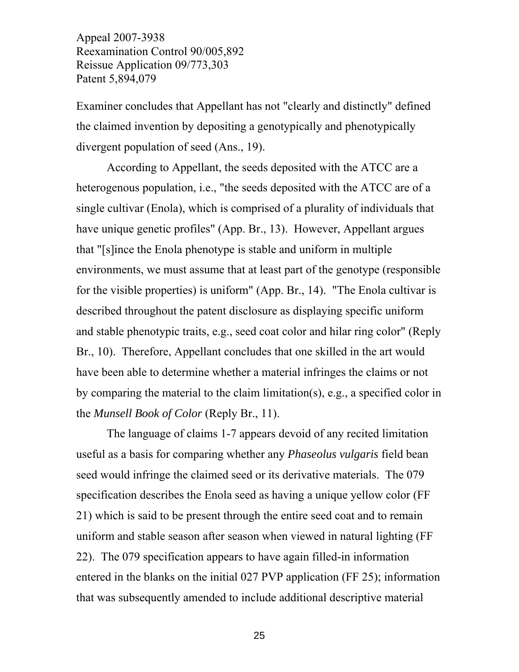Examiner concludes that Appellant has not "clearly and distinctly" defined the claimed invention by depositing a genotypically and phenotypically divergent population of seed (Ans., 19).

According to Appellant, the seeds deposited with the ATCC are a heterogenous population, i.e., "the seeds deposited with the ATCC are of a single cultivar (Enola), which is comprised of a plurality of individuals that have unique genetic profiles" (App. Br., 13). However, Appellant argues that "[s]ince the Enola phenotype is stable and uniform in multiple environments, we must assume that at least part of the genotype (responsible for the visible properties) is uniform" (App. Br., 14). "The Enola cultivar is described throughout the patent disclosure as displaying specific uniform and stable phenotypic traits, e.g., seed coat color and hilar ring color" (Reply Br., 10). Therefore, Appellant concludes that one skilled in the art would have been able to determine whether a material infringes the claims or not by comparing the material to the claim limitation(s), e.g., a specified color in the *Munsell Book of Color* (Reply Br., 11).

The language of claims 1-7 appears devoid of any recited limitation useful as a basis for comparing whether any *Phaseolus vulgaris* field bean seed would infringe the claimed seed or its derivative materials. The 079 specification describes the Enola seed as having a unique yellow color (FF 21) which is said to be present through the entire seed coat and to remain uniform and stable season after season when viewed in natural lighting (FF 22). The 079 specification appears to have again filled-in information entered in the blanks on the initial 027 PVP application (FF 25); information that was subsequently amended to include additional descriptive material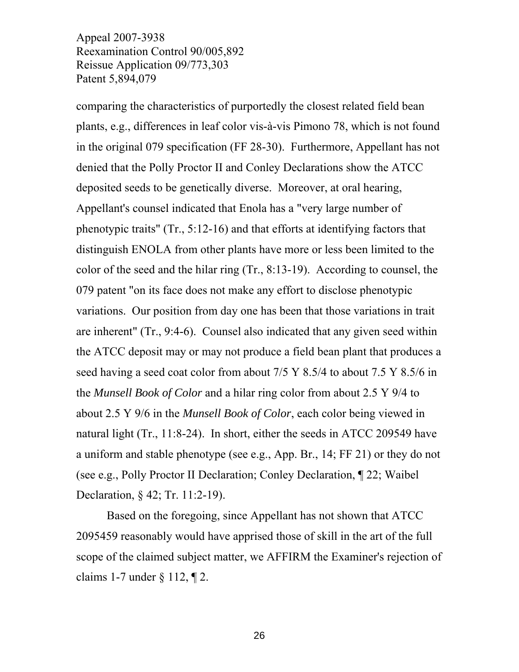comparing the characteristics of purportedly the closest related field bean plants, e.g., differences in leaf color vis-à-vis Pimono 78, which is not found in the original 079 specification (FF 28-30). Furthermore, Appellant has not denied that the Polly Proctor II and Conley Declarations show the ATCC deposited seeds to be genetically diverse. Moreover, at oral hearing, Appellant's counsel indicated that Enola has a "very large number of phenotypic traits" (Tr., 5:12-16) and that efforts at identifying factors that distinguish ENOLA from other plants have more or less been limited to the color of the seed and the hilar ring (Tr., 8:13-19). According to counsel, the 079 patent "on its face does not make any effort to disclose phenotypic variations. Our position from day one has been that those variations in trait are inherent" (Tr., 9:4-6). Counsel also indicated that any given seed within the ATCC deposit may or may not produce a field bean plant that produces a seed having a seed coat color from about 7/5 Y 8.5/4 to about 7.5 Y 8.5/6 in the *Munsell Book of Color* and a hilar ring color from about 2.5 Y 9/4 to about 2.5 Y 9/6 in the *Munsell Book of Color*, each color being viewed in natural light (Tr., 11:8-24). In short, either the seeds in ATCC 209549 have a uniform and stable phenotype (see e.g., App. Br., 14; FF 21) or they do not (see e.g., Polly Proctor II Declaration; Conley Declaration, ¶ 22; Waibel Declaration, § 42; Tr. 11:2-19).

 Based on the foregoing, since Appellant has not shown that ATCC 2095459 reasonably would have apprised those of skill in the art of the full scope of the claimed subject matter, we AFFIRM the Examiner's rejection of claims 1-7 under § 112, ¶ 2.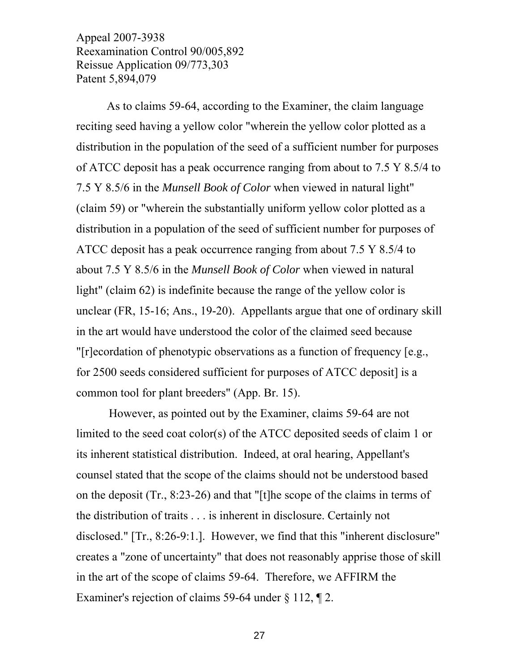As to claims 59-64, according to the Examiner, the claim language reciting seed having a yellow color "wherein the yellow color plotted as a distribution in the population of the seed of a sufficient number for purposes of ATCC deposit has a peak occurrence ranging from about to 7.5 Y 8.5/4 to 7.5 Y 8.5/6 in the *Munsell Book of Color* when viewed in natural light" (claim 59) or "wherein the substantially uniform yellow color plotted as a distribution in a population of the seed of sufficient number for purposes of ATCC deposit has a peak occurrence ranging from about 7.5 Y 8.5/4 to about 7.5 Y 8.5/6 in the *Munsell Book of Color* when viewed in natural light" (claim 62) is indefinite because the range of the yellow color is unclear (FR, 15-16; Ans., 19-20). Appellants argue that one of ordinary skill in the art would have understood the color of the claimed seed because "[r]ecordation of phenotypic observations as a function of frequency [e.g., for 2500 seeds considered sufficient for purposes of ATCC deposit] is a common tool for plant breeders" (App. Br. 15).

 However, as pointed out by the Examiner, claims 59-64 are not limited to the seed coat color(s) of the ATCC deposited seeds of claim 1 or its inherent statistical distribution. Indeed, at oral hearing, Appellant's counsel stated that the scope of the claims should not be understood based on the deposit (Tr., 8:23-26) and that "[t]he scope of the claims in terms of the distribution of traits . . . is inherent in disclosure. Certainly not disclosed." [Tr., 8:26-9:1.]. However, we find that this "inherent disclosure" creates a "zone of uncertainty" that does not reasonably apprise those of skill in the art of the scope of claims 59-64. Therefore, we AFFIRM the Examiner's rejection of claims 59-64 under  $\S 112$ ,  $\P 2$ .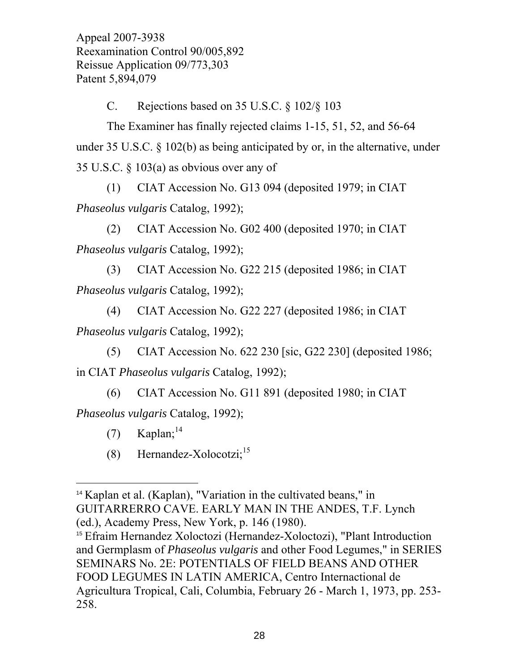C. Rejections based on 35 U.S.C. § 102/§ 103

 The Examiner has finally rejected claims 1-15, 51, 52, and 56-64 under 35 U.S.C. § 102(b) as being anticipated by or, in the alternative, under 35 U.S.C. § 103(a) as obvious over any of

 (1) CIAT Accession No. G13 094 (deposited 1979; in CIAT *Phaseolus vulgaris* Catalog, 1992);

 (2) CIAT Accession No. G02 400 (deposited 1970; in CIAT *Phaseolus vulgaris* Catalog, 1992);

 (3) CIAT Accession No. G22 215 (deposited 1986; in CIAT *Phaseolus vulgaris* Catalog, 1992);

 (4) CIAT Accession No. G22 227 (deposited 1986; in CIAT *Phaseolus vulgaris* Catalog, 1992);

 (5) CIAT Accession No. 622 230 [sic, G22 230] (deposited 1986; in CIAT *Phaseolus vulgaris* Catalog, 1992);

(6) CIAT Accession No. G11 891 (deposited 1980; in CIAT

*Phaseolus vulgaris* Catalog, 1992);

- $(7)$  Kaplan;<sup>14</sup>
- (8) Hernandez-Xolocotzi;15

 $\overline{a}$ <sup>14</sup> Kaplan et al. (Kaplan), "Variation in the cultivated beans," in GUITARRERRO CAVE. EARLY MAN IN THE ANDES, T.F. Lynch (ed.), Academy Press, New York, p. 146 (1980).

<sup>15</sup> Efraim Hernandez Xoloctozi (Hernandez-Xoloctozi), "Plant Introduction and Germplasm of *Phaseolus vulgaris* and other Food Legumes," in SERIES SEMINARS No. 2E: POTENTIALS OF FIELD BEANS AND OTHER FOOD LEGUMES IN LATIN AMERICA, Centro Internactional de Agricultura Tropical, Cali, Columbia, February 26 - March 1, 1973, pp. 253- 258.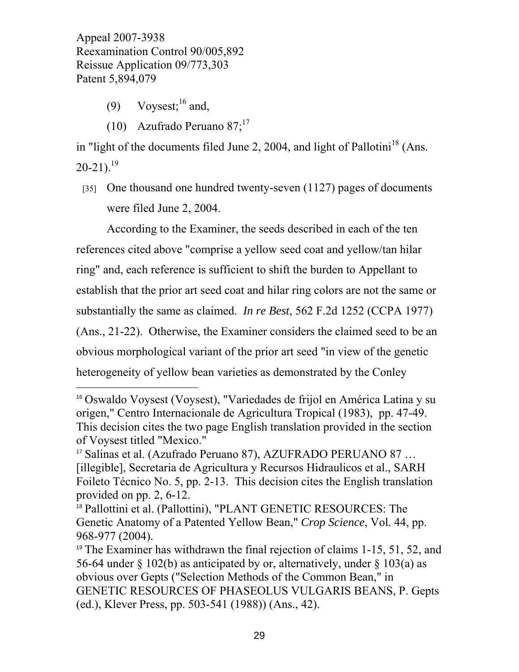(9) Voysest; $^{16}$  and,

 $\overline{a}$ 

(10) Azufrado Peruano  $87$ ;<sup>17</sup>

in "light of the documents filed June 2, 2004, and light of Pallotini<sup>18</sup> (Ans.)  $20-21$ ).<sup>19</sup>

[35] One thousand one hundred twenty-seven (1127) pages of documents were filed June 2, 2004.

According to the Examiner, the seeds described in each of the ten references cited above "comprise a yellow seed coat and yellow/tan hilar ring" and, each reference is sufficient to shift the burden to Appellant to establish that the prior art seed coat and hilar ring colors are not the same or substantially the same as claimed. *In re Best*, 562 F.2d 1252 (CCPA 1977) (Ans., 21-22). Otherwise, the Examiner considers the claimed seed to be an obvious morphological variant of the prior art seed "in view of the genetic heterogeneity of yellow bean varieties as demonstrated by the Conley

<sup>16</sup> Oswaldo Voysest (Voysest), "Variedades de frijol en América Latina y su origen," Centro Internacionale de Agricultura Tropical (1983), pp. 47-49. This decision cites the two page English translation provided in the section of Voysest titled "Mexico."

<sup>17</sup> Salinas et al. (Azufrado Peruano 87), AZUFRADO PERUANO 87 … [illegible], Secretaria de Agricultura y Recursos Hidraulicos et al., SARH Foileto Técnico No. 5, pp. 2-13. This decision cites the English translation provided on pp. 2, 6-12.

<sup>18</sup> Pallottini et al. (Pallottini), "PLANT GENETIC RESOURCES: The Genetic Anatomy of a Patented Yellow Bean," *Crop Science*, Vol. 44, pp. 968-977 (2004).

<sup>&</sup>lt;sup>19</sup> The Examiner has withdrawn the final rejection of claims 1-15, 51, 52, and 56-64 under  $\S$  102(b) as anticipated by or, alternatively, under  $\S$  103(a) as obvious over Gepts ("Selection Methods of the Common Bean," in GENETIC RESOURCES OF PHASEOLUS VULGARIS BEANS, P. Gepts (ed.), Klever Press, pp. 503-541 (1988)) (Ans., 42).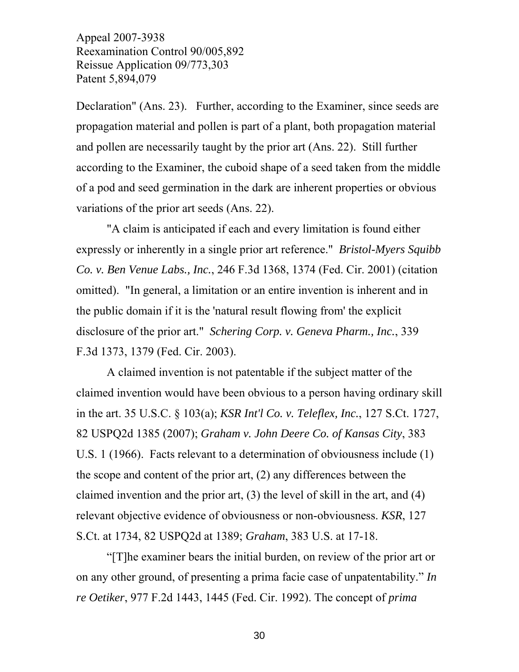Declaration" (Ans. 23). Further, according to the Examiner, since seeds are propagation material and pollen is part of a plant, both propagation material and pollen are necessarily taught by the prior art (Ans. 22). Still further according to the Examiner, the cuboid shape of a seed taken from the middle of a pod and seed germination in the dark are inherent properties or obvious variations of the prior art seeds (Ans. 22).

"A claim is anticipated if each and every limitation is found either expressly or inherently in a single prior art reference." *Bristol-Myers Squibb Co. v. Ben Venue Labs., Inc.*, 246 F.3d 1368, 1374 (Fed. Cir. 2001) (citation omitted). "In general, a limitation or an entire invention is inherent and in the public domain if it is the 'natural result flowing from' the explicit disclosure of the prior art." *Schering Corp. v. Geneva Pharm., Inc.*, 339 F.3d 1373, 1379 (Fed. Cir. 2003).

A claimed invention is not patentable if the subject matter of the claimed invention would have been obvious to a person having ordinary skill in the art. 35 U.S.C. § 103(a); *KSR Int'l Co. v. Teleflex, Inc.*, 127 S.Ct. 1727, 82 USPQ2d 1385 (2007); *Graham v. John Deere Co. of Kansas City*, 383 U.S. 1 (1966). Facts relevant to a determination of obviousness include (1) the scope and content of the prior art, (2) any differences between the claimed invention and the prior art, (3) the level of skill in the art, and (4) relevant objective evidence of obviousness or non-obviousness. *KSR*, 127 S.Ct. at 1734, 82 USPQ2d at 1389; *Graham*, 383 U.S. at 17-18.

"[T]he examiner bears the initial burden, on review of the prior art or on any other ground, of presenting a prima facie case of unpatentability." *In re Oetiker*, 977 F.2d 1443, 1445 (Fed. Cir. 1992). The concept of *prima*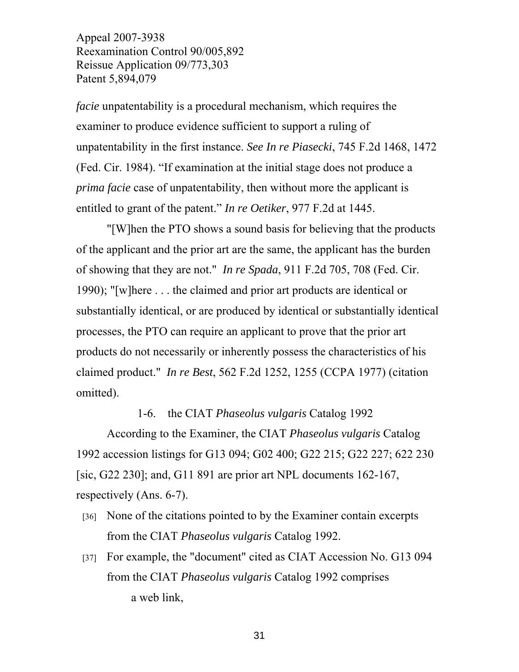*facie* unpatentability is a procedural mechanism, which requires the examiner to produce evidence sufficient to support a ruling of unpatentability in the first instance. *See In re Piasecki*, 745 F.2d 1468, 1472 (Fed. Cir. 1984). "If examination at the initial stage does not produce a *prima facie* case of unpatentability, then without more the applicant is entitled to grant of the patent." *In re Oetiker*, 977 F.2d at 1445.

"[W]hen the PTO shows a sound basis for believing that the products of the applicant and the prior art are the same, the applicant has the burden of showing that they are not." *In re Spada*, 911 F.2d 705, 708 (Fed. Cir. 1990); "[w]here . . . the claimed and prior art products are identical or substantially identical, or are produced by identical or substantially identical processes, the PTO can require an applicant to prove that the prior art products do not necessarily or inherently possess the characteristics of his claimed product." *In re Best*, 562 F.2d 1252, 1255 (CCPA 1977) (citation omitted).

## 1-6. the CIAT *Phaseolus vulgaris* Catalog 1992

 According to the Examiner, the CIAT *Phaseolus vulgaris* Catalog 1992 accession listings for G13 094; G02 400; G22 215; G22 227; 622 230 [sic, G22 230]; and, G11 891 are prior art NPL documents 162-167, respectively (Ans. 6-7).

- [36] None of the citations pointed to by the Examiner contain excerpts from the CIAT *Phaseolus vulgaris* Catalog 1992.
- [37] For example, the "document" cited as CIAT Accession No. G13 094 from the CIAT *Phaseolus vulgaris* Catalog 1992 comprises a web link,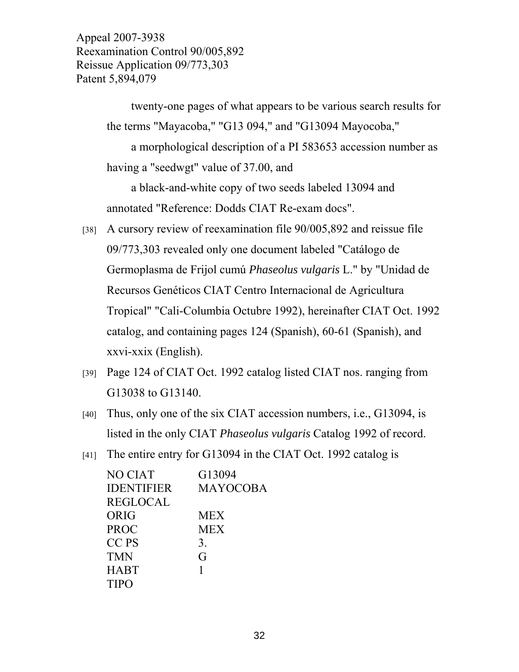> twenty-one pages of what appears to be various search results for the terms "Mayacoba," "G13 094," and "G13094 Mayocoba,"

> a morphological description of a PI 583653 accession number as having a "seedwgt" value of 37.00, and

a black-and-white copy of two seeds labeled 13094 and annotated "Reference: Dodds CIAT Re-exam docs".

- [38] A cursory review of reexamination file 90/005,892 and reissue file 09/773,303 revealed only one document labeled "Catálogo de Germoplasma de Frijol cumú *Phaseolus vulgaris* L." by "Unidad de Recursos Genéticos CIAT Centro Internacional de Agricultura Tropical" "Cali-Columbia Octubre 1992), hereinafter CIAT Oct. 1992 catalog, and containing pages 124 (Spanish), 60-61 (Spanish), and xxvi-xxix (English).
- [39] Page 124 of CIAT Oct. 1992 catalog listed CIAT nos. ranging from G13038 to G13140.
- [40] Thus, only one of the six CIAT accession numbers, i.e., G13094, is listed in the only CIAT *Phaseolus vulgaris* Catalog 1992 of record.
- [41] The entire entry for G13094 in the CIAT Oct. 1992 catalog is

| <b>NO CIAT</b>    | G13094          |
|-------------------|-----------------|
| <b>IDENTIFIER</b> | <b>MAYOCOBA</b> |
| <b>REGLOCAL</b>   |                 |
| <b>ORIG</b>       | <b>MEX</b>      |
| <b>PROC</b>       | <b>MEX</b>      |
| CC <sub>PS</sub>  | 3.              |
| <b>TMN</b>        | G               |
| <b>HABT</b>       | 1               |
| <b>TIPO</b>       |                 |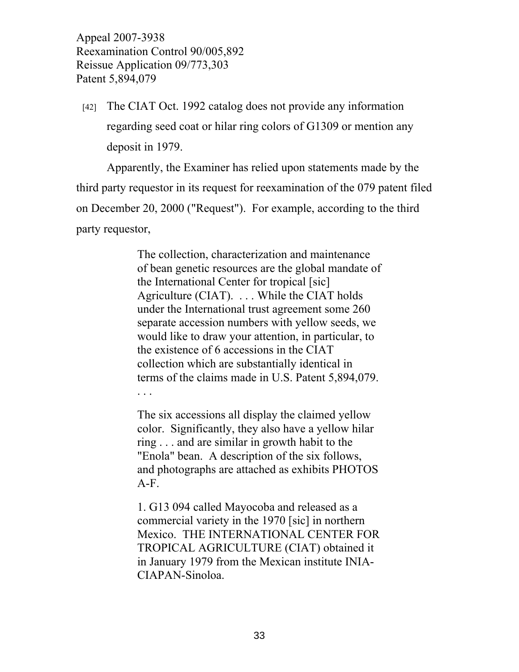[42] The CIAT Oct. 1992 catalog does not provide any information regarding seed coat or hilar ring colors of G1309 or mention any deposit in 1979.

Apparently, the Examiner has relied upon statements made by the third party requestor in its request for reexamination of the 079 patent filed on December 20, 2000 ("Request"). For example, according to the third party requestor,

> The collection, characterization and maintenance of bean genetic resources are the global mandate of the International Center for tropical [sic] Agriculture (CIAT). . . . While the CIAT holds under the International trust agreement some 260 separate accession numbers with yellow seeds, we would like to draw your attention, in particular, to the existence of 6 accessions in the CIAT collection which are substantially identical in terms of the claims made in U.S. Patent 5,894,079.

. . .

The six accessions all display the claimed yellow color. Significantly, they also have a yellow hilar ring . . . and are similar in growth habit to the "Enola" bean. A description of the six follows, and photographs are attached as exhibits PHOTOS A-F.

1. G13 094 called Mayocoba and released as a commercial variety in the 1970 [sic] in northern Mexico. THE INTERNATIONAL CENTER FOR TROPICAL AGRICULTURE (CIAT) obtained it in January 1979 from the Mexican institute INIA-CIAPAN-Sinoloa.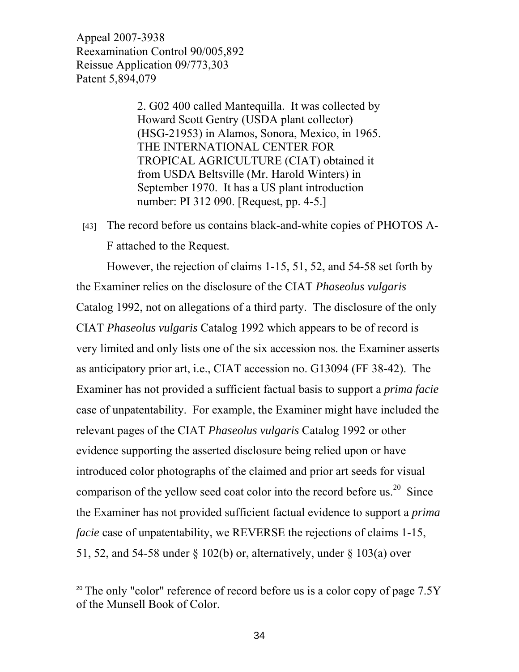> 2. G02 400 called Mantequilla. It was collected by Howard Scott Gentry (USDA plant collector) (HSG-21953) in Alamos, Sonora, Mexico, in 1965. THE INTERNATIONAL CENTER FOR TROPICAL AGRICULTURE (CIAT) obtained it from USDA Beltsville (Mr. Harold Winters) in September 1970. It has a US plant introduction number: PI 312 090. [Request, pp. 4-5.]

[43] The record before us contains black-and-white copies of PHOTOS A-F attached to the Request.

 However, the rejection of claims 1-15, 51, 52, and 54-58 set forth by the Examiner relies on the disclosure of the CIAT *Phaseolus vulgaris* Catalog 1992, not on allegations of a third party. The disclosure of the only CIAT *Phaseolus vulgaris* Catalog 1992 which appears to be of record is very limited and only lists one of the six accession nos. the Examiner asserts as anticipatory prior art, i.e., CIAT accession no. G13094 (FF 38-42). The Examiner has not provided a sufficient factual basis to support a *prima facie* case of unpatentability. For example, the Examiner might have included the relevant pages of the CIAT *Phaseolus vulgaris* Catalog 1992 or other evidence supporting the asserted disclosure being relied upon or have introduced color photographs of the claimed and prior art seeds for visual comparison of the yellow seed coat color into the record before us.<sup>20</sup> Since the Examiner has not provided sufficient factual evidence to support a *prima facie* case of unpatentability, we REVERSE the rejections of claims 1-15, 51, 52, and 54-58 under § 102(b) or, alternatively, under § 103(a) over

 $\overline{a}$ 

<sup>&</sup>lt;sup>20</sup> The only "color" reference of record before us is a color copy of page  $7.5Y$ of the Munsell Book of Color.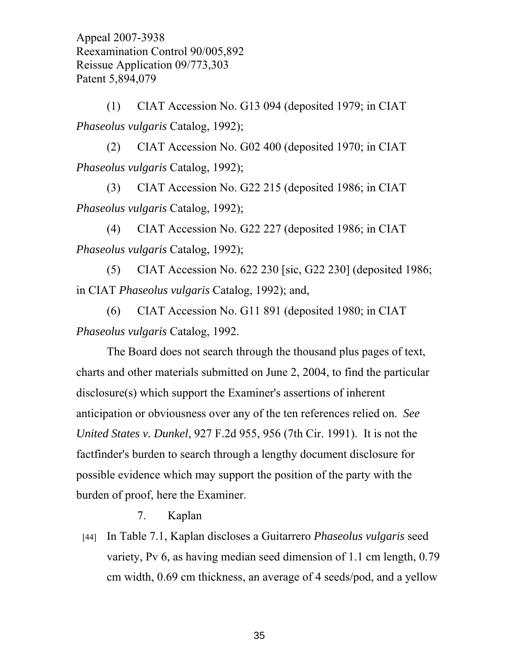(1) CIAT Accession No. G13 094 (deposited 1979; in CIAT *Phaseolus vulgaris* Catalog, 1992);

 (2) CIAT Accession No. G02 400 (deposited 1970; in CIAT *Phaseolus vulgaris* Catalog, 1992);

 (3) CIAT Accession No. G22 215 (deposited 1986; in CIAT *Phaseolus vulgaris* Catalog, 1992);

 (4) CIAT Accession No. G22 227 (deposited 1986; in CIAT *Phaseolus vulgaris* Catalog, 1992);

 (5) CIAT Accession No. 622 230 [sic, G22 230] (deposited 1986; in CIAT *Phaseolus vulgaris* Catalog, 1992); and,

(6) CIAT Accession No. G11 891 (deposited 1980; in CIAT *Phaseolus vulgaris* Catalog, 1992.

 The Board does not search through the thousand plus pages of text, charts and other materials submitted on June 2, 2004, to find the particular disclosure(s) which support the Examiner's assertions of inherent anticipation or obviousness over any of the ten references relied on. *See United States v. Dunkel*, 927 F.2d 955, 956 (7th Cir. 1991). It is not the factfinder's burden to search through a lengthy document disclosure for possible evidence which may support the position of the party with the burden of proof, here the Examiner.

7. Kaplan

[44] In Table 7.1, Kaplan discloses a Guitarrero *Phaseolus vulgaris* seed variety, Pv 6, as having median seed dimension of 1.1 cm length, 0.79 cm width, 0.69 cm thickness, an average of 4 seeds/pod, and a yellow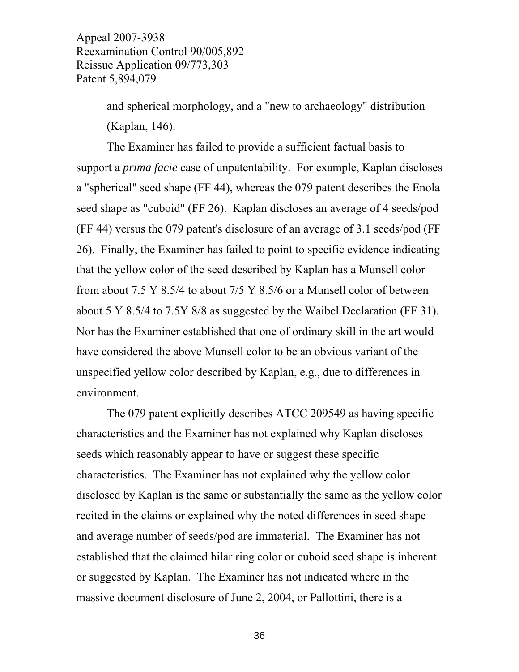> and spherical morphology, and a "new to archaeology" distribution (Kaplan, 146).

The Examiner has failed to provide a sufficient factual basis to support a *prima facie* case of unpatentability. For example, Kaplan discloses a "spherical" seed shape (FF 44), whereas the 079 patent describes the Enola seed shape as "cuboid" (FF 26). Kaplan discloses an average of 4 seeds/pod (FF 44) versus the 079 patent's disclosure of an average of 3.1 seeds/pod (FF 26). Finally, the Examiner has failed to point to specific evidence indicating that the yellow color of the seed described by Kaplan has a Munsell color from about 7.5 Y 8.5/4 to about 7/5 Y 8.5/6 or a Munsell color of between about 5 Y 8.5/4 to 7.5Y 8/8 as suggested by the Waibel Declaration (FF 31). Nor has the Examiner established that one of ordinary skill in the art would have considered the above Munsell color to be an obvious variant of the unspecified yellow color described by Kaplan, e.g., due to differences in environment.

The 079 patent explicitly describes ATCC 209549 as having specific characteristics and the Examiner has not explained why Kaplan discloses seeds which reasonably appear to have or suggest these specific characteristics. The Examiner has not explained why the yellow color disclosed by Kaplan is the same or substantially the same as the yellow color recited in the claims or explained why the noted differences in seed shape and average number of seeds/pod are immaterial. The Examiner has not established that the claimed hilar ring color or cuboid seed shape is inherent or suggested by Kaplan. The Examiner has not indicated where in the massive document disclosure of June 2, 2004, or Pallottini, there is a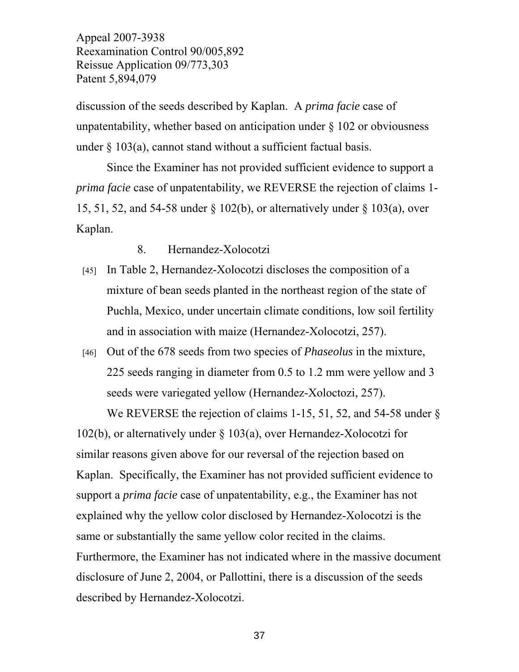discussion of the seeds described by Kaplan. A *prima facie* case of unpatentability, whether based on anticipation under  $\S 102$  or obviousness under  $\S$  103(a), cannot stand without a sufficient factual basis.

Since the Examiner has not provided sufficient evidence to support a *prima facie* case of unpatentability, we REVERSE the rejection of claims 1- 15, 51, 52, and 54-58 under § 102(b), or alternatively under § 103(a), over Kaplan.

8. Hernandez-Xolocotzi

- [45] In Table 2, Hernandez-Xolocotzi discloses the composition of a mixture of bean seeds planted in the northeast region of the state of Puchla, Mexico, under uncertain climate conditions, low soil fertility and in association with maize (Hernandez-Xolocotzi, 257).
- [46] Out of the 678 seeds from two species of *Phaseolus* in the mixture, 225 seeds ranging in diameter from 0.5 to 1.2 mm were yellow and 3 seeds were variegated yellow (Hernandez-Xoloctozi, 257).

We REVERSE the rejection of claims 1-15, 51, 52, and 54-58 under § 102(b), or alternatively under § 103(a), over Hernandez-Xolocotzi for similar reasons given above for our reversal of the rejection based on Kaplan. Specifically, the Examiner has not provided sufficient evidence to support a *prima facie* case of unpatentability, e.g., the Examiner has not explained why the yellow color disclosed by Hernandez-Xolocotzi is the same or substantially the same yellow color recited in the claims. Furthermore, the Examiner has not indicated where in the massive document disclosure of June 2, 2004, or Pallottini, there is a discussion of the seeds described by Hernandez-Xolocotzi.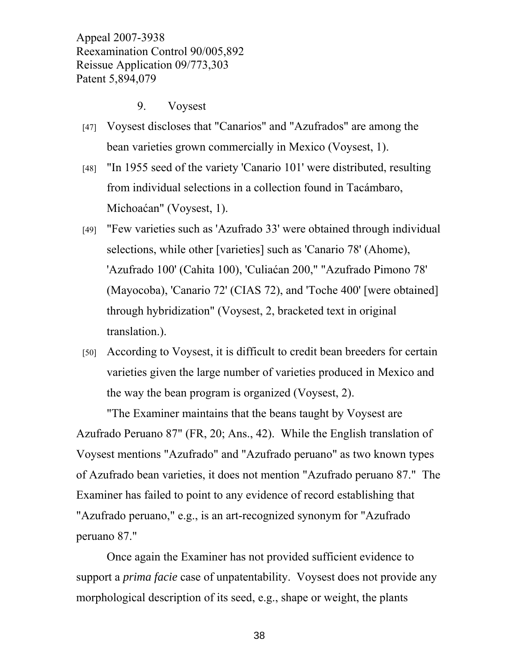## 9. Voysest

- [47] Voysest discloses that "Canarios" and "Azufrados" are among the bean varieties grown commercially in Mexico (Voysest, 1).
- [48] "In 1955 seed of the variety 'Canario 101' were distributed, resulting from individual selections in a collection found in Tacámbaro, Michoaćan" (Voysest, 1).
- [49] "Few varieties such as 'Azufrado 33' were obtained through individual selections, while other [varieties] such as 'Canario 78' (Ahome), 'Azufrado 100' (Cahita 100), 'Culiaćan 200," "Azufrado Pimono 78' (Mayocoba), 'Canario 72' (CIAS 72), and 'Toche 400' [were obtained] through hybridization" (Voysest, 2, bracketed text in original translation.).
- [50] According to Voysest, it is difficult to credit bean breeders for certain varieties given the large number of varieties produced in Mexico and the way the bean program is organized (Voysest, 2).

"The Examiner maintains that the beans taught by Voysest are Azufrado Peruano 87" (FR, 20; Ans., 42). While the English translation of Voysest mentions "Azufrado" and "Azufrado peruano" as two known types of Azufrado bean varieties, it does not mention "Azufrado peruano 87." The Examiner has failed to point to any evidence of record establishing that "Azufrado peruano," e.g., is an art-recognized synonym for "Azufrado peruano 87."

Once again the Examiner has not provided sufficient evidence to support a *prima facie* case of unpatentability. Voysest does not provide any morphological description of its seed, e.g., shape or weight, the plants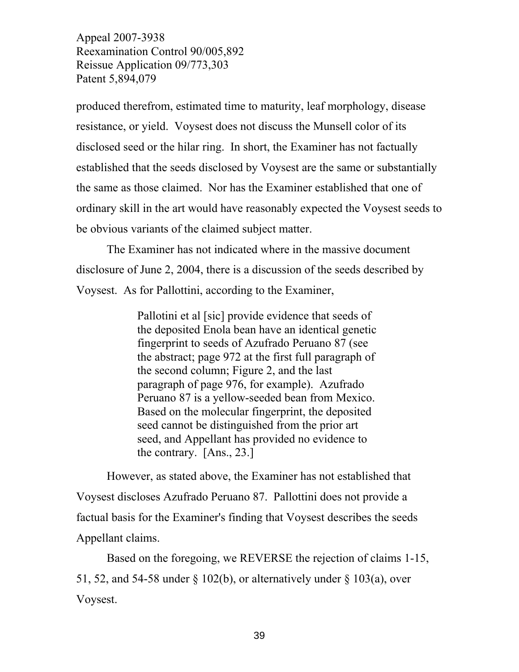produced therefrom, estimated time to maturity, leaf morphology, disease resistance, or yield. Voysest does not discuss the Munsell color of its disclosed seed or the hilar ring. In short, the Examiner has not factually established that the seeds disclosed by Voysest are the same or substantially the same as those claimed. Nor has the Examiner established that one of ordinary skill in the art would have reasonably expected the Voysest seeds to be obvious variants of the claimed subject matter.

The Examiner has not indicated where in the massive document disclosure of June 2, 2004, there is a discussion of the seeds described by Voysest. As for Pallottini, according to the Examiner,

> Pallotini et al [sic] provide evidence that seeds of the deposited Enola bean have an identical genetic fingerprint to seeds of Azufrado Peruano 87 (see the abstract; page 972 at the first full paragraph of the second column; Figure 2, and the last paragraph of page 976, for example). Azufrado Peruano 87 is a yellow-seeded bean from Mexico. Based on the molecular fingerprint, the deposited seed cannot be distinguished from the prior art seed, and Appellant has provided no evidence to the contrary. [Ans., 23.]

However, as stated above, the Examiner has not established that Voysest discloses Azufrado Peruano 87. Pallottini does not provide a factual basis for the Examiner's finding that Voysest describes the seeds Appellant claims.

Based on the foregoing, we REVERSE the rejection of claims 1-15, 51, 52, and 54-58 under § 102(b), or alternatively under § 103(a), over Voysest.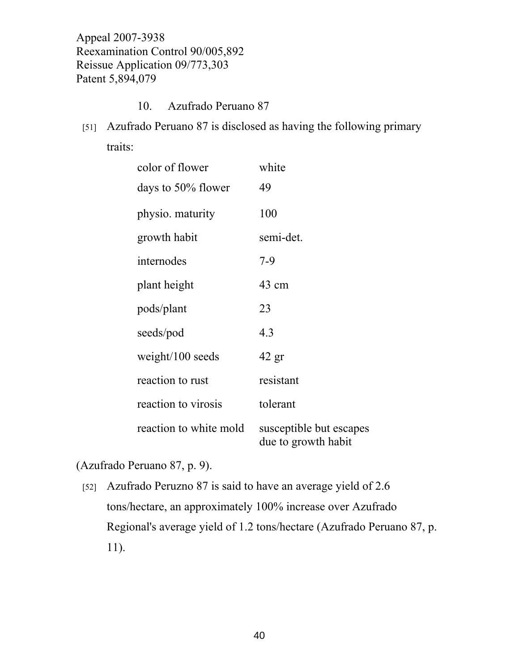- 10. Azufrado Peruano 87
- [51] Azufrado Peruano 87 is disclosed as having the following primary traits:

| color of flower        | white                                          |
|------------------------|------------------------------------------------|
| days to 50% flower     | 49                                             |
| physio. maturity       | 100                                            |
| growth habit           | semi-det.                                      |
| internodes             | $7-9$                                          |
| plant height           | $43 \text{ cm}$                                |
| pods/plant             | 23                                             |
| seeds/pod              | 4.3                                            |
| weight/100 seeds       | $42$ gr                                        |
| reaction to rust       | resistant                                      |
| reaction to virosis    | tolerant                                       |
| reaction to white mold | susceptible but escapes<br>due to growth habit |

(Azufrado Peruano 87, p. 9).

[52] Azufrado Peruzno 87 is said to have an average yield of 2.6 tons/hectare, an approximately 100% increase over Azufrado Regional's average yield of 1.2 tons/hectare (Azufrado Peruano 87, p. 11).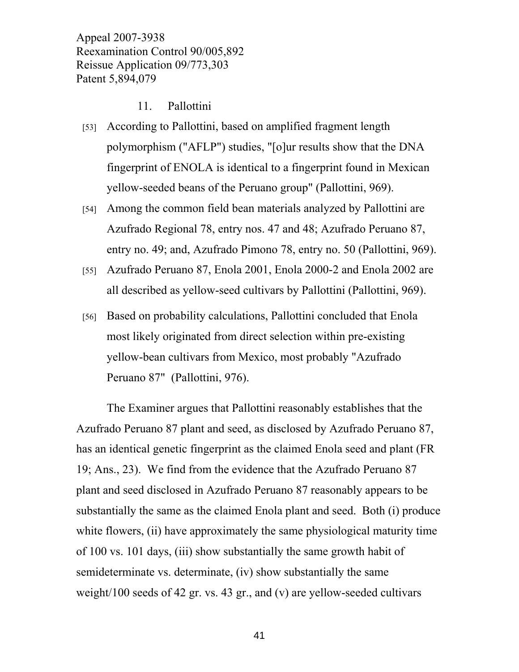## 11. Pallottini

- [53] According to Pallottini, based on amplified fragment length polymorphism ("AFLP") studies, "[o]ur results show that the DNA fingerprint of ENOLA is identical to a fingerprint found in Mexican yellow-seeded beans of the Peruano group" (Pallottini, 969).
- [54] Among the common field bean materials analyzed by Pallottini are Azufrado Regional 78, entry nos. 47 and 48; Azufrado Peruano 87, entry no. 49; and, Azufrado Pimono 78, entry no. 50 (Pallottini, 969).
- [55] Azufrado Peruano 87, Enola 2001, Enola 2000-2 and Enola 2002 are all described as yellow-seed cultivars by Pallottini (Pallottini, 969).
- [56] Based on probability calculations, Pallottini concluded that Enola most likely originated from direct selection within pre-existing yellow-bean cultivars from Mexico, most probably "Azufrado Peruano 87" (Pallottini, 976).

The Examiner argues that Pallottini reasonably establishes that the Azufrado Peruano 87 plant and seed, as disclosed by Azufrado Peruano 87, has an identical genetic fingerprint as the claimed Enola seed and plant (FR 19; Ans., 23). We find from the evidence that the Azufrado Peruano 87 plant and seed disclosed in Azufrado Peruano 87 reasonably appears to be substantially the same as the claimed Enola plant and seed. Both (i) produce white flowers, (ii) have approximately the same physiological maturity time of 100 vs. 101 days, (iii) show substantially the same growth habit of semideterminate vs. determinate, (iv) show substantially the same weight/100 seeds of 42 gr. vs. 43 gr., and (v) are yellow-seeded cultivars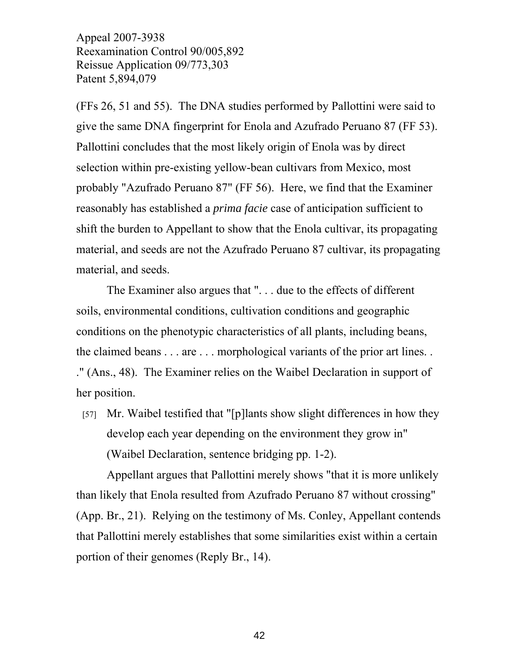(FFs 26, 51 and 55). The DNA studies performed by Pallottini were said to give the same DNA fingerprint for Enola and Azufrado Peruano 87 (FF 53). Pallottini concludes that the most likely origin of Enola was by direct selection within pre-existing yellow-bean cultivars from Mexico, most probably "Azufrado Peruano 87" (FF 56). Here, we find that the Examiner reasonably has established a *prima facie* case of anticipation sufficient to shift the burden to Appellant to show that the Enola cultivar, its propagating material, and seeds are not the Azufrado Peruano 87 cultivar, its propagating material, and seeds.

The Examiner also argues that ". . . due to the effects of different soils, environmental conditions, cultivation conditions and geographic conditions on the phenotypic characteristics of all plants, including beans, the claimed beans . . . are . . . morphological variants of the prior art lines. . ." (Ans., 48). The Examiner relies on the Waibel Declaration in support of her position.

[57] Mr. Waibel testified that "[p]lants show slight differences in how they develop each year depending on the environment they grow in" (Waibel Declaration, sentence bridging pp. 1-2).

Appellant argues that Pallottini merely shows "that it is more unlikely than likely that Enola resulted from Azufrado Peruano 87 without crossing" (App. Br., 21). Relying on the testimony of Ms. Conley, Appellant contends that Pallottini merely establishes that some similarities exist within a certain portion of their genomes (Reply Br., 14).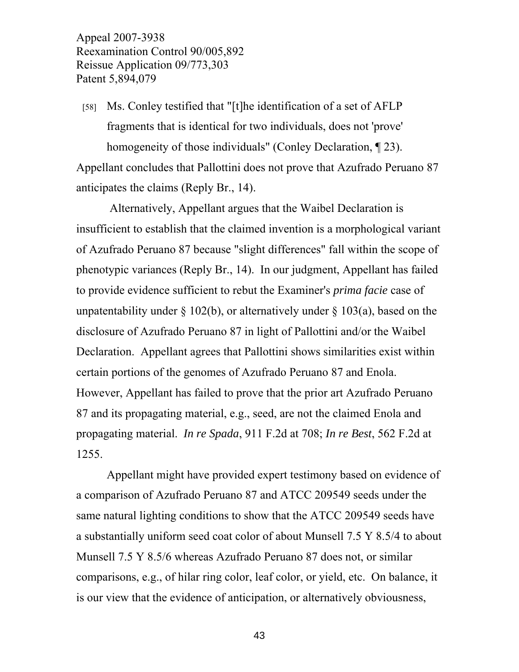[58] Ms. Conley testified that "[t]he identification of a set of AFLP fragments that is identical for two individuals, does not 'prove' homogeneity of those individuals" (Conley Declaration, ¶ 23).

Appellant concludes that Pallottini does not prove that Azufrado Peruano 87 anticipates the claims (Reply Br., 14).

 Alternatively, Appellant argues that the Waibel Declaration is insufficient to establish that the claimed invention is a morphological variant of Azufrado Peruano 87 because "slight differences" fall within the scope of phenotypic variances (Reply Br., 14). In our judgment, Appellant has failed to provide evidence sufficient to rebut the Examiner's *prima facie* case of unpatentability under  $\S$  102(b), or alternatively under  $\S$  103(a), based on the disclosure of Azufrado Peruano 87 in light of Pallottini and/or the Waibel Declaration. Appellant agrees that Pallottini shows similarities exist within certain portions of the genomes of Azufrado Peruano 87 and Enola. However, Appellant has failed to prove that the prior art Azufrado Peruano 87 and its propagating material, e.g., seed, are not the claimed Enola and propagating material. *In re Spada*, 911 F.2d at 708; *In re Best*, 562 F.2d at 1255.

Appellant might have provided expert testimony based on evidence of a comparison of Azufrado Peruano 87 and ATCC 209549 seeds under the same natural lighting conditions to show that the ATCC 209549 seeds have a substantially uniform seed coat color of about Munsell 7.5 Y 8.5/4 to about Munsell 7.5 Y 8.5/6 whereas Azufrado Peruano 87 does not, or similar comparisons, e.g., of hilar ring color, leaf color, or yield, etc. On balance, it is our view that the evidence of anticipation, or alternatively obviousness,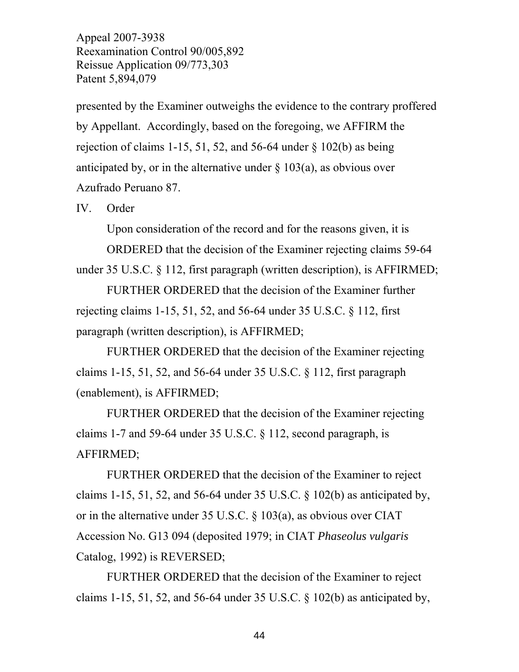presented by the Examiner outweighs the evidence to the contrary proffered by Appellant. Accordingly, based on the foregoing, we AFFIRM the rejection of claims 1-15, 51, 52, and 56-64 under  $\S$  102(b) as being anticipated by, or in the alternative under  $\S$  103(a), as obvious over Azufrado Peruano 87.

IV. Order

 Upon consideration of the record and for the reasons given, it is ORDERED that the decision of the Examiner rejecting claims 59-64 under 35 U.S.C. § 112, first paragraph (written description), is AFFIRMED;

 FURTHER ORDERED that the decision of the Examiner further rejecting claims 1-15, 51, 52, and 56-64 under 35 U.S.C. § 112, first paragraph (written description), is AFFIRMED;

 FURTHER ORDERED that the decision of the Examiner rejecting claims 1-15, 51, 52, and 56-64 under 35 U.S.C. § 112, first paragraph (enablement), is AFFIRMED;

 FURTHER ORDERED that the decision of the Examiner rejecting claims 1-7 and 59-64 under 35 U.S.C. § 112, second paragraph, is AFFIRMED;

 FURTHER ORDERED that the decision of the Examiner to reject claims 1-15, 51, 52, and 56-64 under 35 U.S.C.  $\S$  102(b) as anticipated by, or in the alternative under 35 U.S.C. § 103(a), as obvious over CIAT Accession No. G13 094 (deposited 1979; in CIAT *Phaseolus vulgaris* Catalog, 1992) is REVERSED;

 FURTHER ORDERED that the decision of the Examiner to reject claims 1-15, 51, 52, and 56-64 under 35 U.S.C.  $\&$  102(b) as anticipated by,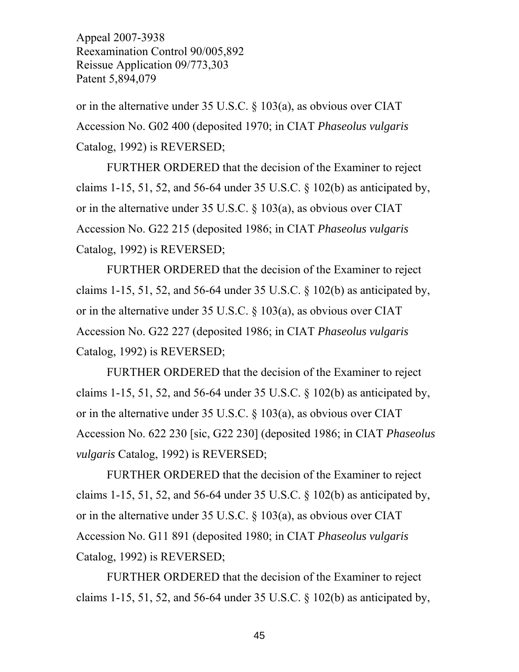or in the alternative under 35 U.S.C. § 103(a), as obvious over CIAT Accession No. G02 400 (deposited 1970; in CIAT *Phaseolus vulgaris* Catalog, 1992) is REVERSED;

FURTHER ORDERED that the decision of the Examiner to reject claims 1-15, 51, 52, and 56-64 under 35 U.S.C.  $\S$  102(b) as anticipated by, or in the alternative under 35 U.S.C. § 103(a), as obvious over CIAT Accession No. G22 215 (deposited 1986; in CIAT *Phaseolus vulgaris* Catalog, 1992) is REVERSED;

FURTHER ORDERED that the decision of the Examiner to reject claims 1-15, 51, 52, and 56-64 under 35 U.S.C.  $\&$  102(b) as anticipated by, or in the alternative under 35 U.S.C. § 103(a), as obvious over CIAT Accession No. G22 227 (deposited 1986; in CIAT *Phaseolus vulgaris* Catalog, 1992) is REVERSED;

FURTHER ORDERED that the decision of the Examiner to reject claims 1-15, 51, 52, and 56-64 under 35 U.S.C.  $\S$  102(b) as anticipated by, or in the alternative under 35 U.S.C. § 103(a), as obvious over CIAT Accession No. 622 230 [sic, G22 230] (deposited 1986; in CIAT *Phaseolus vulgaris* Catalog, 1992) is REVERSED;

FURTHER ORDERED that the decision of the Examiner to reject claims 1-15, 51, 52, and 56-64 under 35 U.S.C.  $\S$  102(b) as anticipated by, or in the alternative under 35 U.S.C. § 103(a), as obvious over CIAT Accession No. G11 891 (deposited 1980; in CIAT *Phaseolus vulgaris* Catalog, 1992) is REVERSED;

 FURTHER ORDERED that the decision of the Examiner to reject claims 1-15, 51, 52, and 56-64 under 35 U.S.C.  $\&$  102(b) as anticipated by,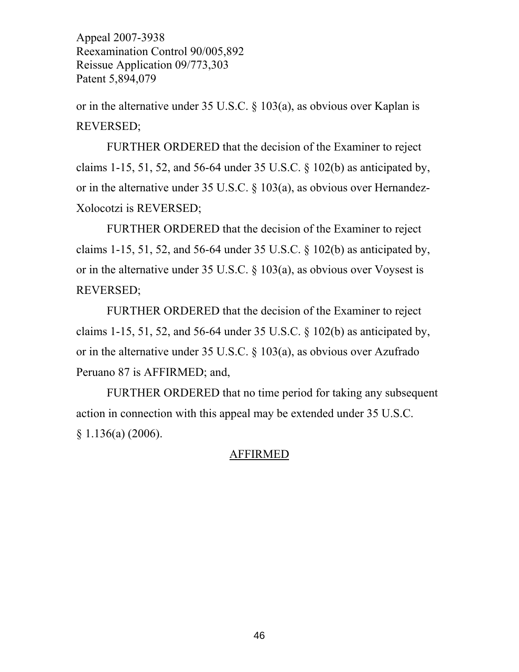or in the alternative under 35 U.S.C. § 103(a), as obvious over Kaplan is REVERSED;

 FURTHER ORDERED that the decision of the Examiner to reject claims 1-15, 51, 52, and 56-64 under 35 U.S.C.  $\S$  102(b) as anticipated by, or in the alternative under 35 U.S.C. § 103(a), as obvious over Hernandez-Xolocotzi is REVERSED;

FURTHER ORDERED that the decision of the Examiner to reject claims 1-15, 51, 52, and 56-64 under 35 U.S.C.  $\S$  102(b) as anticipated by, or in the alternative under 35 U.S.C. § 103(a), as obvious over Voysest is REVERSED;

FURTHER ORDERED that the decision of the Examiner to reject claims 1-15, 51, 52, and 56-64 under 35 U.S.C.  $\S$  102(b) as anticipated by, or in the alternative under 35 U.S.C. § 103(a), as obvious over Azufrado Peruano 87 is AFFIRMED; and,

FURTHER ORDERED that no time period for taking any subsequent action in connection with this appeal may be extended under 35 U.S.C.  $§ 1.136(a) (2006).$ 

## AFFIRMED